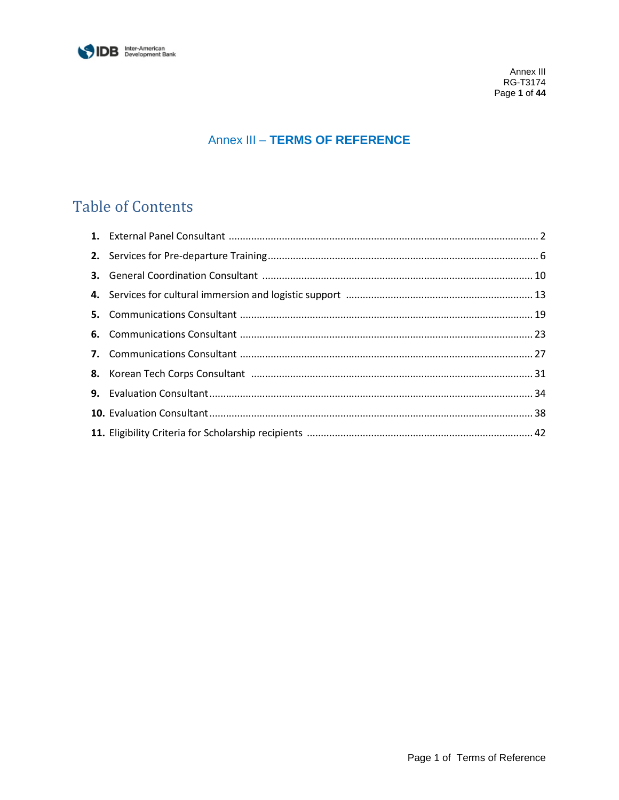

## **Annex III - TERMS OF REFERENCE**

# **Table of Contents**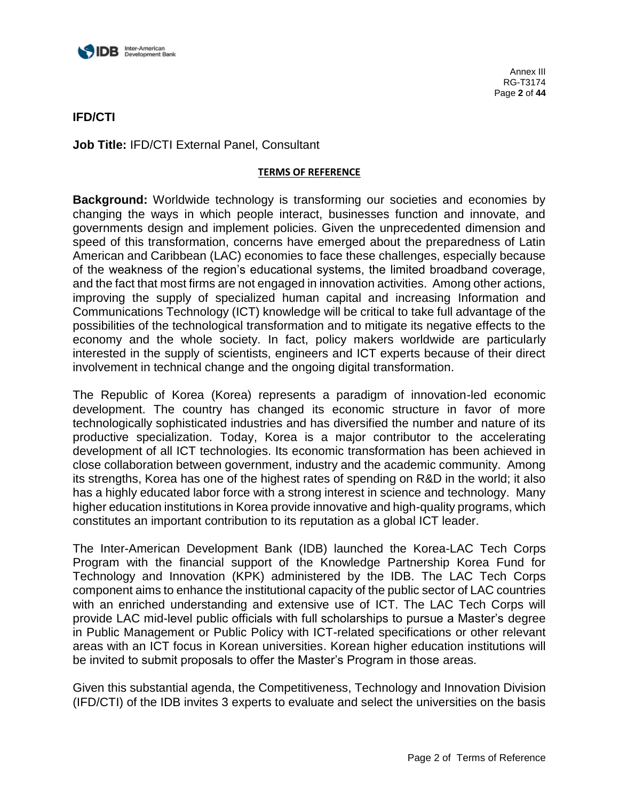

## **IFD/CTI**

**Job Title:** IFD/CTI External Panel, Consultant

#### **TERMS OF REFERENCE**

**Background:** Worldwide technology is transforming our societies and economies by changing the ways in which people interact, businesses function and innovate, and governments design and implement policies. Given the unprecedented dimension and speed of this transformation, concerns have emerged about the preparedness of Latin American and Caribbean (LAC) economies to face these challenges, especially because of the weakness of the region's educational systems, the limited broadband coverage, and the fact that most firms are not engaged in innovation activities. Among other actions, improving the supply of specialized human capital and increasing Information and Communications Technology (ICT) knowledge will be critical to take full advantage of the possibilities of the technological transformation and to mitigate its negative effects to the economy and the whole society. In fact, policy makers worldwide are particularly interested in the supply of scientists, engineers and ICT experts because of their direct involvement in technical change and the ongoing digital transformation.

The Republic of Korea (Korea) represents a paradigm of innovation-led economic development. The country has changed its economic structure in favor of more technologically sophisticated industries and has diversified the number and nature of its productive specialization. Today, Korea is a major contributor to the accelerating development of all ICT technologies. Its economic transformation has been achieved in close collaboration between government, industry and the academic community. Among its strengths, Korea has one of the highest rates of spending on R&D in the world; it also has a highly educated labor force with a strong interest in science and technology. Many higher education institutions in Korea provide innovative and high-quality programs, which constitutes an important contribution to its reputation as a global ICT leader.

The Inter-American Development Bank (IDB) launched the Korea-LAC Tech Corps Program with the financial support of the Knowledge Partnership Korea Fund for Technology and Innovation (KPK) administered by the IDB. The LAC Tech Corps component aims to enhance the institutional capacity of the public sector of LAC countries with an enriched understanding and extensive use of ICT. The LAC Tech Corps will provide LAC mid-level public officials with full scholarships to pursue a Master's degree in Public Management or Public Policy with ICT-related specifications or other relevant areas with an ICT focus in Korean universities. Korean higher education institutions will be invited to submit proposals to offer the Master's Program in those areas.

Given this substantial agenda, the Competitiveness, Technology and Innovation Division (IFD/CTI) of the IDB invites 3 experts to evaluate and select the universities on the basis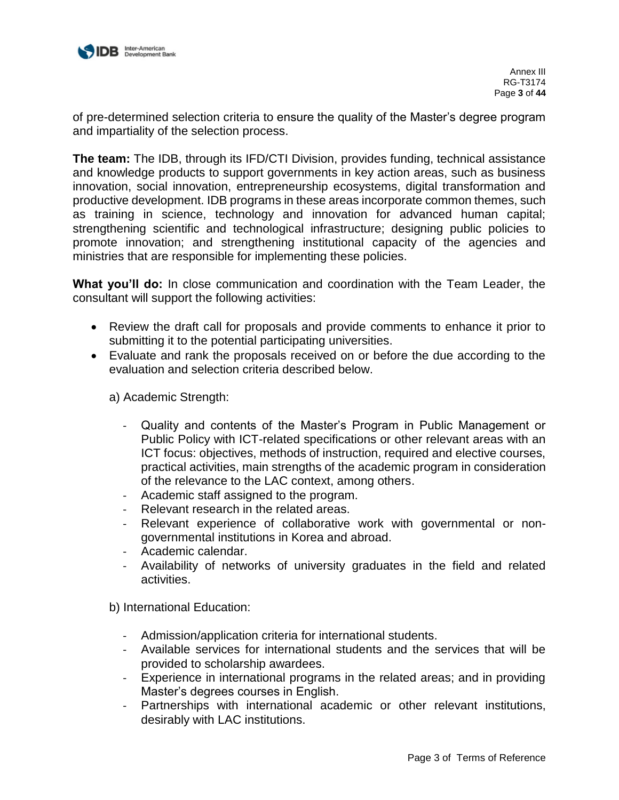

of pre-determined selection criteria to ensure the quality of the Master's degree program and impartiality of the selection process.

**The team:** The IDB, through its IFD/CTI Division, provides funding, technical assistance and knowledge products to support governments in key action areas, such as business innovation, social innovation, entrepreneurship ecosystems, digital transformation and productive development. IDB programs in these areas incorporate common themes, such as training in science, technology and innovation for advanced human capital; strengthening scientific and technological infrastructure; designing public policies to promote innovation; and strengthening institutional capacity of the agencies and ministries that are responsible for implementing these policies.

**What you'll do:** In close communication and coordination with the Team Leader, the consultant will support the following activities:

- Review the draft call for proposals and provide comments to enhance it prior to submitting it to the potential participating universities.
- Evaluate and rank the proposals received on or before the due according to the evaluation and selection criteria described below.

a) Academic Strength:

- Quality and contents of the Master's Program in Public Management or Public Policy with ICT-related specifications or other relevant areas with an ICT focus: objectives, methods of instruction, required and elective courses, practical activities, main strengths of the academic program in consideration of the relevance to the LAC context, among others.
- Academic staff assigned to the program.
- Relevant research in the related areas.
- Relevant experience of collaborative work with governmental or nongovernmental institutions in Korea and abroad.
- Academic calendar.
- Availability of networks of university graduates in the field and related activities.

b) International Education:

- Admission/application criteria for international students.
- Available services for international students and the services that will be provided to scholarship awardees.
- Experience in international programs in the related areas; and in providing Master's degrees courses in English.
- Partnerships with international academic or other relevant institutions, desirably with LAC institutions.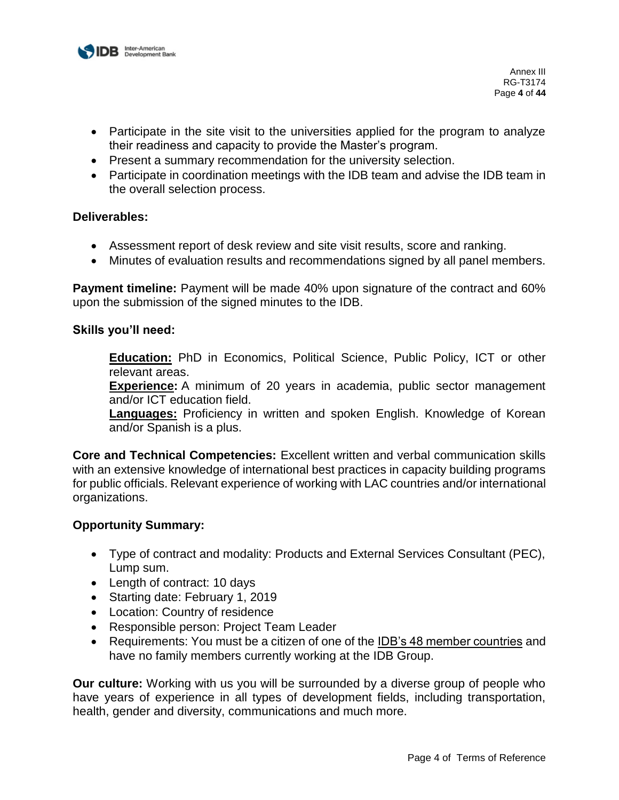

Annex III RG-T3174 Page **4** of **44**

- Participate in the site visit to the universities applied for the program to analyze their readiness and capacity to provide the Master's program.
- Present a summary recommendation for the university selection.
- Participate in coordination meetings with the IDB team and advise the IDB team in the overall selection process.

## **Deliverables:**

- Assessment report of desk review and site visit results, score and ranking.
- Minutes of evaluation results and recommendations signed by all panel members.

**Payment timeline:** Payment will be made 40% upon signature of the contract and 60% upon the submission of the signed minutes to the IDB.

## **Skills you'll need:**

**Education:** PhD in Economics, Political Science, Public Policy, ICT or other relevant areas.

**Experience:** A minimum of 20 years in academia, public sector management and/or ICT education field.

**Languages:** Proficiency in written and spoken English. Knowledge of Korean and/or Spanish is a plus.

**Core and Technical Competencies:** Excellent written and verbal communication skills with an extensive knowledge of international best practices in capacity building programs for public officials. Relevant experience of working with LAC countries and/or international organizations.

## **Opportunity Summary:**

- Type of contract and modality: Products and External Services Consultant (PEC), Lump sum.
- Length of contract: 10 days
- Starting date: February 1, 2019
- Location: Country of residence
- Responsible person: Project Team Leader
- Requirements: You must be a citizen of one of the [IDB's 48 member countries](http://www.iadb.org/en/about-us/how-the-inter-american-development-bank-is-organized,5998.html?open_accordion=9) and have no family members currently working at the IDB Group.

**Our culture:** Working with us you will be surrounded by a diverse group of people who have years of experience in all types of development fields, including transportation, health, gender and diversity, communications and much more.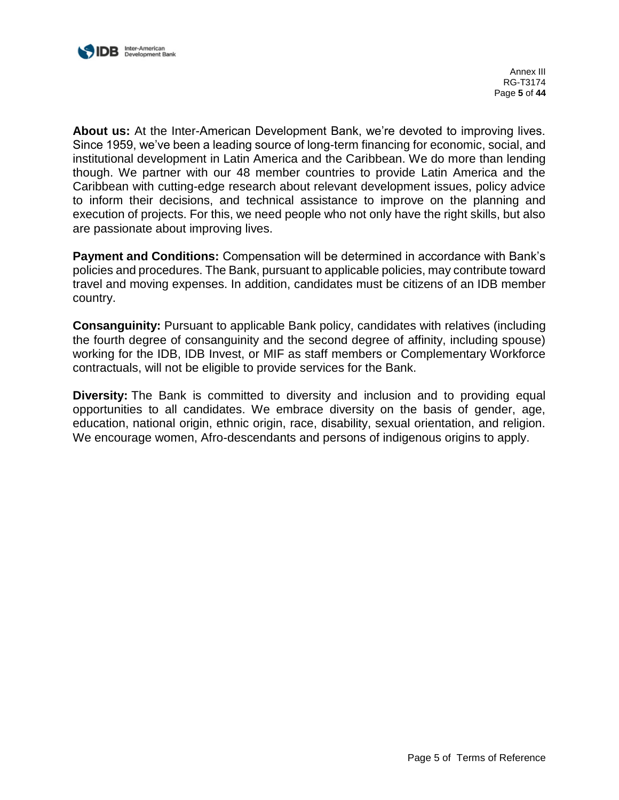

Annex III RG-T3174 Page **5** of **44**

**About us:** At the Inter-American Development Bank, we're devoted to improving lives. Since 1959, we've been a leading source of long-term financing for economic, social, and institutional development in Latin America and the Caribbean. We do more than lending though. We partner with our 48 member countries to provide Latin America and the Caribbean with cutting-edge research about relevant development issues, policy advice to inform their decisions, and technical assistance to improve on the planning and execution of projects. For this, we need people who not only have the right skills, but also are passionate about improving lives.

**Payment and Conditions:** Compensation will be determined in accordance with Bank's policies and procedures. The Bank, pursuant to applicable policies, may contribute toward travel and moving expenses. In addition, candidates must be citizens of an IDB member country.

**Consanguinity:** Pursuant to applicable Bank policy, candidates with relatives (including the fourth degree of consanguinity and the second degree of affinity, including spouse) working for the IDB, IDB Invest, or MIF as staff members or Complementary Workforce contractuals, will not be eligible to provide services for the Bank.

**Diversity:** The Bank is committed to diversity and inclusion and to providing equal opportunities to all candidates. We embrace diversity on the basis of gender, age, education, national origin, ethnic origin, race, disability, sexual orientation, and religion. We encourage women, Afro-descendants and persons of indigenous origins to apply.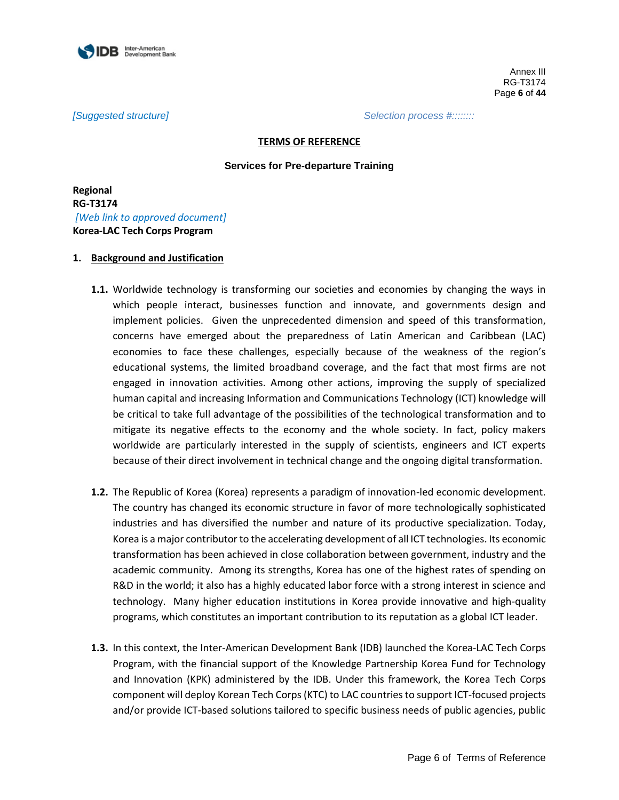

Annex III RG-T3174 Page **6** of **44**

*[Suggested structure] Selection process #::::::::*

#### **TERMS OF REFERENCE**

#### **Services for Pre-departure Training**

**Regional RG-T3174** *[Web link to approved document]* **Korea-LAC Tech Corps Program**

#### **1. Background and Justification**

- **1.1.** Worldwide technology is transforming our societies and economies by changing the ways in which people interact, businesses function and innovate, and governments design and implement policies. Given the unprecedented dimension and speed of this transformation, concerns have emerged about the preparedness of Latin American and Caribbean (LAC) economies to face these challenges, especially because of the weakness of the region's educational systems, the limited broadband coverage, and the fact that most firms are not engaged in innovation activities. Among other actions, improving the supply of specialized human capital and increasing Information and Communications Technology (ICT) knowledge will be critical to take full advantage of the possibilities of the technological transformation and to mitigate its negative effects to the economy and the whole society. In fact, policy makers worldwide are particularly interested in the supply of scientists, engineers and ICT experts because of their direct involvement in technical change and the ongoing digital transformation.
- **1.2.** The Republic of Korea (Korea) represents a paradigm of innovation-led economic development. The country has changed its economic structure in favor of more technologically sophisticated industries and has diversified the number and nature of its productive specialization. Today, Korea is a major contributor to the accelerating development of all ICT technologies. Its economic transformation has been achieved in close collaboration between government, industry and the academic community. Among its strengths, Korea has one of the highest rates of spending on R&D in the world; it also has a highly educated labor force with a strong interest in science and technology. Many higher education institutions in Korea provide innovative and high-quality programs, which constitutes an important contribution to its reputation as a global ICT leader.
- **1.3.** In this context, the Inter-American Development Bank (IDB) launched the Korea-LAC Tech Corps Program, with the financial support of the Knowledge Partnership Korea Fund for Technology and Innovation (KPK) administered by the IDB. Under this framework, the Korea Tech Corps component will deploy Korean Tech Corps (KTC) to LAC countriesto support ICT-focused projects and/or provide ICT-based solutions tailored to specific business needs of public agencies, public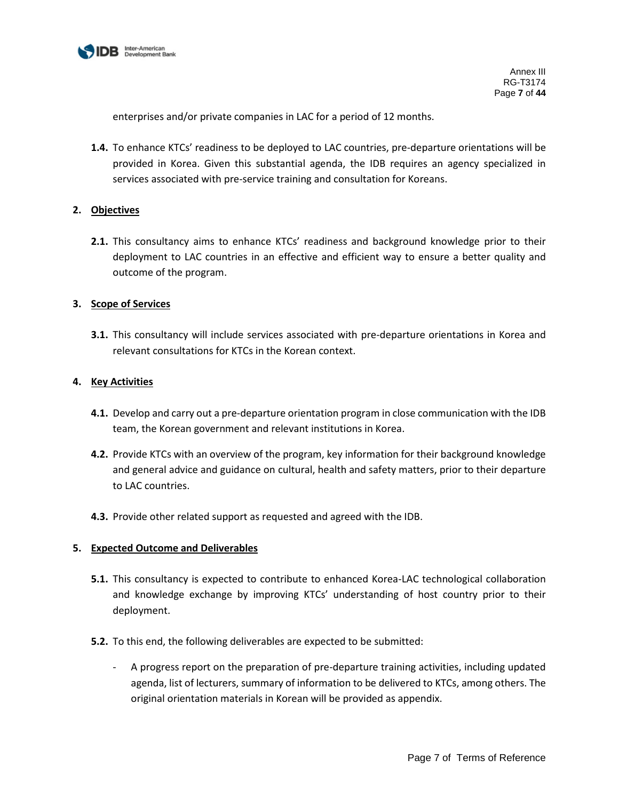

enterprises and/or private companies in LAC for a period of 12 months.

**1.4.** To enhance KTCs' readiness to be deployed to LAC countries, pre-departure orientations will be provided in Korea. Given this substantial agenda, the IDB requires an agency specialized in services associated with pre-service training and consultation for Koreans.

#### **2. Objectives**

**2.1.** This consultancy aims to enhance KTCs' readiness and background knowledge prior to their deployment to LAC countries in an effective and efficient way to ensure a better quality and outcome of the program.

#### **3. Scope of Services**

**3.1.** This consultancy will include services associated with pre-departure orientations in Korea and relevant consultations for KTCs in the Korean context.

#### **4. Key Activities**

- **4.1.** Develop and carry out a pre-departure orientation program in close communication with the IDB team, the Korean government and relevant institutions in Korea.
- **4.2.** Provide KTCs with an overview of the program, key information for their background knowledge and general advice and guidance on cultural, health and safety matters, prior to their departure to LAC countries.
- **4.3.** Provide other related support as requested and agreed with the IDB.

#### **5. Expected Outcome and Deliverables**

- **5.1.** This consultancy is expected to contribute to enhanced Korea-LAC technological collaboration and knowledge exchange by improving KTCs' understanding of host country prior to their deployment.
- **5.2.** To this end, the following deliverables are expected to be submitted:
	- A progress report on the preparation of pre-departure training activities, including updated agenda, list of lecturers, summary of information to be delivered to KTCs, among others. The original orientation materials in Korean will be provided as appendix.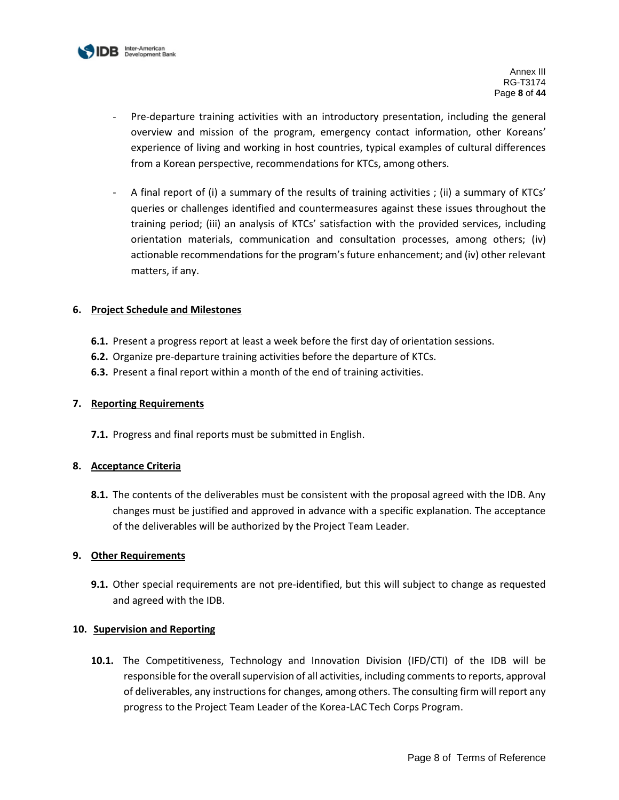

- Pre-departure training activities with an introductory presentation, including the general overview and mission of the program, emergency contact information, other Koreans' experience of living and working in host countries, typical examples of cultural differences from a Korean perspective, recommendations for KTCs, among others.
- A final report of (i) a summary of the results of training activities ; (ii) a summary of KTCs' queries or challenges identified and countermeasures against these issues throughout the training period; (iii) an analysis of KTCs' satisfaction with the provided services, including orientation materials, communication and consultation processes, among others; (iv) actionable recommendations for the program's future enhancement; and (iv) other relevant matters, if any.

#### **6. Project Schedule and Milestones**

- **6.1.** Present a progress report at least a week before the first day of orientation sessions.
- **6.2.** Organize pre-departure training activities before the departure of KTCs.
- **6.3.** Present a final report within a month of the end of training activities.

#### **7. Reporting Requirements**

**7.1.** Progress and final reports must be submitted in English.

#### **8. Acceptance Criteria**

**8.1.** The contents of the deliverables must be consistent with the proposal agreed with the IDB. Any changes must be justified and approved in advance with a specific explanation. The acceptance of the deliverables will be authorized by the Project Team Leader.

#### **9. Other Requirements**

**9.1.** Other special requirements are not pre-identified, but this will subject to change as requested and agreed with the IDB.

#### **10. Supervision and Reporting**

**10.1.** The Competitiveness, Technology and Innovation Division (IFD/CTI) of the IDB will be responsible for the overall supervision of all activities, including comments to reports, approval of deliverables, any instructions for changes, among others. The consulting firm will report any progress to the Project Team Leader of the Korea-LAC Tech Corps Program.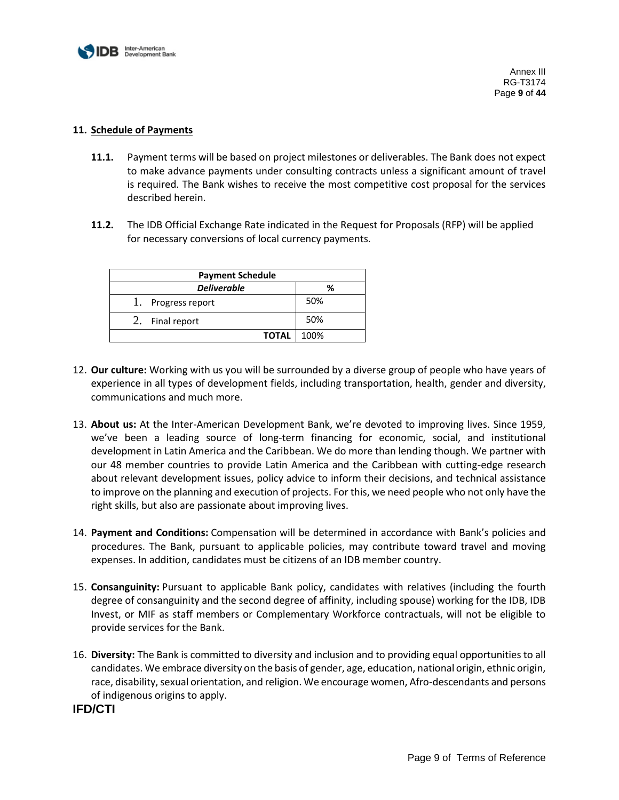

#### **11. Schedule of Payments**

- **11.1.** Payment terms will be based on project milestones or deliverables. The Bank does not expect to make advance payments under consulting contracts unless a significant amount of travel is required. The Bank wishes to receive the most competitive cost proposal for the services described herein.
- **11.2.** The IDB Official Exchange Rate indicated in the Request for Proposals (RFP) will be applied for necessary conversions of local currency payments.

| <b>Payment Schedule</b> |      |  |  |  |
|-------------------------|------|--|--|--|
| <b>Deliverable</b>      | %    |  |  |  |
| 1. Progress report      | 50%  |  |  |  |
| 2. Final report         | 50%  |  |  |  |
| <b>TOTAL</b>            | 100% |  |  |  |

- 12. **Our culture:** Working with us you will be surrounded by a diverse group of people who have years of experience in all types of development fields, including transportation, health, gender and diversity, communications and much more.
- 13. **About us:** At the Inter-American Development Bank, we're devoted to improving lives. Since 1959, we've been a leading source of long-term financing for economic, social, and institutional development in Latin America and the Caribbean. We do more than lending though. We partner with our 48 member countries to provide Latin America and the Caribbean with cutting-edge research about relevant development issues, policy advice to inform their decisions, and technical assistance to improve on the planning and execution of projects. For this, we need people who not only have the right skills, but also are passionate about improving lives.
- 14. **Payment and Conditions:** Compensation will be determined in accordance with Bank's policies and procedures. The Bank, pursuant to applicable policies, may contribute toward travel and moving expenses. In addition, candidates must be citizens of an IDB member country.
- 15. **Consanguinity:** Pursuant to applicable Bank policy, candidates with relatives (including the fourth degree of consanguinity and the second degree of affinity, including spouse) working for the IDB, IDB Invest, or MIF as staff members or Complementary Workforce contractuals, will not be eligible to provide services for the Bank.
- 16. **Diversity:** The Bank is committed to diversity and inclusion and to providing equal opportunities to all candidates. We embrace diversity on the basis of gender, age, education, national origin, ethnic origin, race, disability, sexual orientation, and religion. We encourage women, Afro-descendants and persons of indigenous origins to apply.

**IFD/CTI**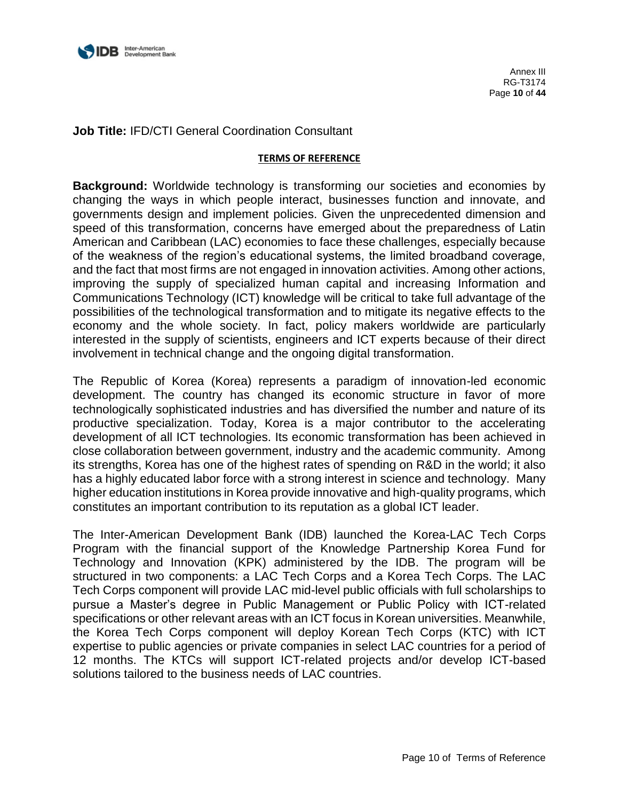

**Job Title:** IFD/CTI General Coordination Consultant

#### **TERMS OF REFERENCE**

**Background:** Worldwide technology is transforming our societies and economies by changing the ways in which people interact, businesses function and innovate, and governments design and implement policies. Given the unprecedented dimension and speed of this transformation, concerns have emerged about the preparedness of Latin American and Caribbean (LAC) economies to face these challenges, especially because of the weakness of the region's educational systems, the limited broadband coverage, and the fact that most firms are not engaged in innovation activities. Among other actions, improving the supply of specialized human capital and increasing Information and Communications Technology (ICT) knowledge will be critical to take full advantage of the possibilities of the technological transformation and to mitigate its negative effects to the economy and the whole society. In fact, policy makers worldwide are particularly interested in the supply of scientists, engineers and ICT experts because of their direct involvement in technical change and the ongoing digital transformation.

The Republic of Korea (Korea) represents a paradigm of innovation-led economic development. The country has changed its economic structure in favor of more technologically sophisticated industries and has diversified the number and nature of its productive specialization. Today, Korea is a major contributor to the accelerating development of all ICT technologies. Its economic transformation has been achieved in close collaboration between government, industry and the academic community. Among its strengths, Korea has one of the highest rates of spending on R&D in the world; it also has a highly educated labor force with a strong interest in science and technology. Many higher education institutions in Korea provide innovative and high-quality programs, which constitutes an important contribution to its reputation as a global ICT leader.

The Inter-American Development Bank (IDB) launched the Korea-LAC Tech Corps Program with the financial support of the Knowledge Partnership Korea Fund for Technology and Innovation (KPK) administered by the IDB. The program will be structured in two components: a LAC Tech Corps and a Korea Tech Corps. The LAC Tech Corps component will provide LAC mid-level public officials with full scholarships to pursue a Master's degree in Public Management or Public Policy with ICT-related specifications or other relevant areas with an ICT focus in Korean universities. Meanwhile, the Korea Tech Corps component will deploy Korean Tech Corps (KTC) with ICT expertise to public agencies or private companies in select LAC countries for a period of 12 months. The KTCs will support ICT-related projects and/or develop ICT-based solutions tailored to the business needs of LAC countries.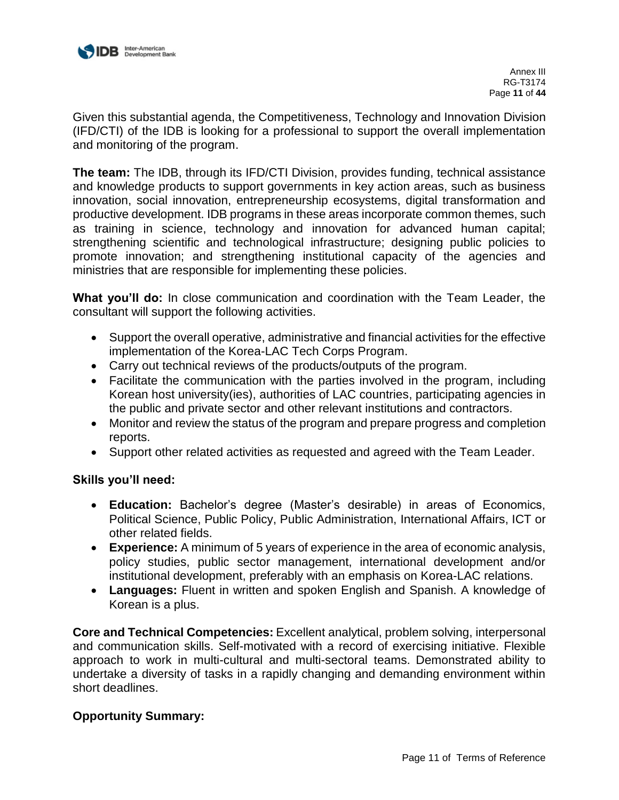

Given this substantial agenda, the Competitiveness, Technology and Innovation Division (IFD/CTI) of the IDB is looking for a professional to support the overall implementation and monitoring of the program.

**The team:** The IDB, through its IFD/CTI Division, provides funding, technical assistance and knowledge products to support governments in key action areas, such as business innovation, social innovation, entrepreneurship ecosystems, digital transformation and productive development. IDB programs in these areas incorporate common themes, such as training in science, technology and innovation for advanced human capital; strengthening scientific and technological infrastructure; designing public policies to promote innovation; and strengthening institutional capacity of the agencies and ministries that are responsible for implementing these policies.

**What you'll do:** In close communication and coordination with the Team Leader, the consultant will support the following activities.

- Support the overall operative, administrative and financial activities for the effective implementation of the Korea-LAC Tech Corps Program.
- Carry out technical reviews of the products/outputs of the program.
- Facilitate the communication with the parties involved in the program, including Korean host university(ies), authorities of LAC countries, participating agencies in the public and private sector and other relevant institutions and contractors.
- Monitor and review the status of the program and prepare progress and completion reports.
- Support other related activities as requested and agreed with the Team Leader.

## **Skills you'll need:**

- **Education:** Bachelor's degree (Master's desirable) in areas of Economics, Political Science, Public Policy, Public Administration, International Affairs, ICT or other related fields.
- **Experience:** A minimum of 5 years of experience in the area of economic analysis, policy studies, public sector management, international development and/or institutional development, preferably with an emphasis on Korea-LAC relations.
- **Languages:** Fluent in written and spoken English and Spanish. A knowledge of Korean is a plus.

**Core and Technical Competencies:** Excellent analytical, problem solving, interpersonal and communication skills. Self-motivated with a record of exercising initiative. Flexible approach to work in multi-cultural and multi-sectoral teams. Demonstrated ability to undertake a diversity of tasks in a rapidly changing and demanding environment within short deadlines.

## **Opportunity Summary:**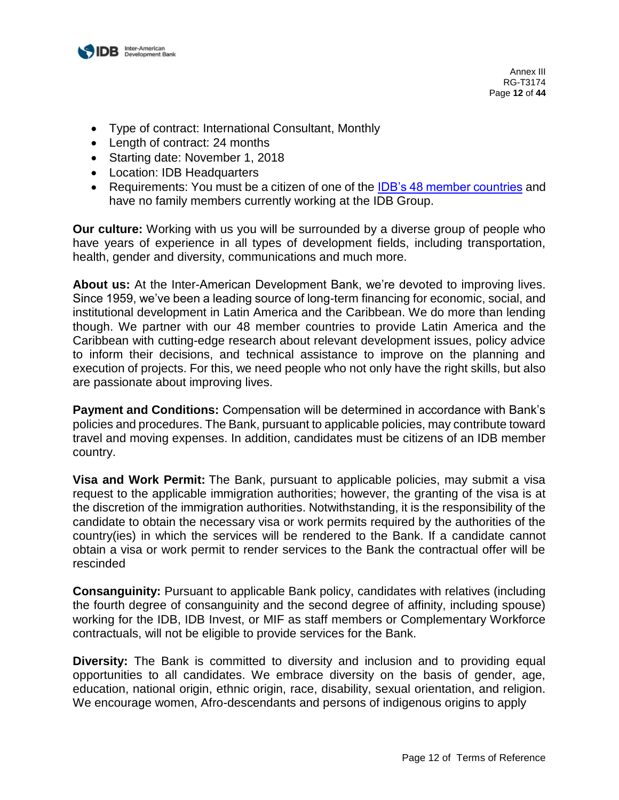

- Type of contract: International Consultant, Monthly
- Length of contract: 24 months
- Starting date: November 1, 2018
- Location: IDB Headquarters
- Requirements: You must be a citizen of one of the [IDB's 48 member countries](http://www.iadb.org/en/about-us/how-the-inter-american-development-bank-is-organized,5998.html?open_accordion=9) and have no family members currently working at the IDB Group.

**Our culture:** Working with us you will be surrounded by a diverse group of people who have years of experience in all types of development fields, including transportation, health, gender and diversity, communications and much more.

**About us:** At the Inter-American Development Bank, we're devoted to improving lives. Since 1959, we've been a leading source of long-term financing for economic, social, and institutional development in Latin America and the Caribbean. We do more than lending though. We partner with our 48 member countries to provide Latin America and the Caribbean with cutting-edge research about relevant development issues, policy advice to inform their decisions, and technical assistance to improve on the planning and execution of projects. For this, we need people who not only have the right skills, but also are passionate about improving lives.

**Payment and Conditions:** Compensation will be determined in accordance with Bank's policies and procedures. The Bank, pursuant to applicable policies, may contribute toward travel and moving expenses. In addition, candidates must be citizens of an IDB member country.

**Visa and Work Permit:** The Bank, pursuant to applicable policies, may submit a visa request to the applicable immigration authorities; however, the granting of the visa is at the discretion of the immigration authorities. Notwithstanding, it is the responsibility of the candidate to obtain the necessary visa or work permits required by the authorities of the country(ies) in which the services will be rendered to the Bank. If a candidate cannot obtain a visa or work permit to render services to the Bank the contractual offer will be rescinded

**Consanguinity:** Pursuant to applicable Bank policy, candidates with relatives (including the fourth degree of consanguinity and the second degree of affinity, including spouse) working for the IDB, IDB Invest, or MIF as staff members or Complementary Workforce contractuals, will not be eligible to provide services for the Bank.

**Diversity:** The Bank is committed to diversity and inclusion and to providing equal opportunities to all candidates. We embrace diversity on the basis of gender, age, education, national origin, ethnic origin, race, disability, sexual orientation, and religion. We encourage women, Afro-descendants and persons of indigenous origins to apply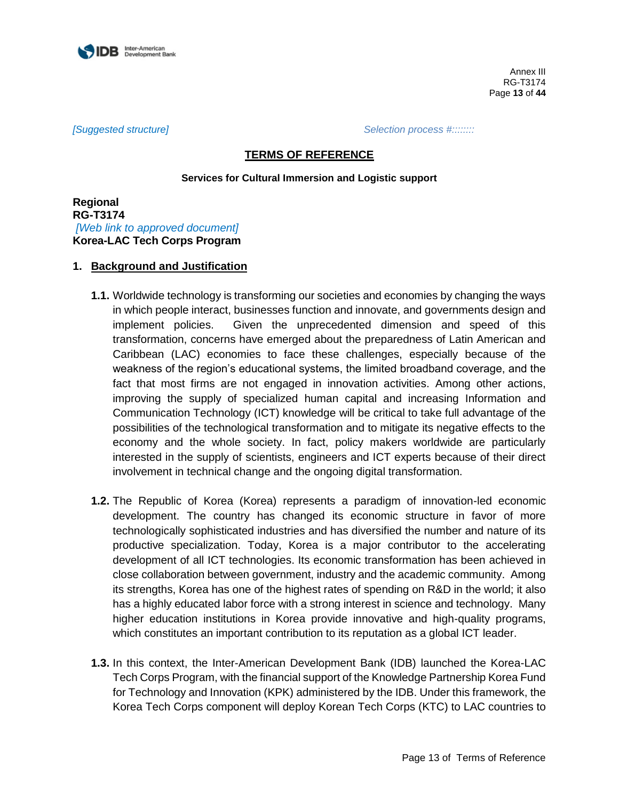

Annex III RG-T3174 Page **13** of **44**

*[Suggested structure] Selection process #::::::::*

#### **TERMS OF REFERENCE**

#### **Services for Cultural Immersion and Logistic support**

**Regional RG-T3174** *[Web link to approved document]* **Korea-LAC Tech Corps Program**

#### **1. Background and Justification**

- **1.1.** Worldwide technology is transforming our societies and economies by changing the ways in which people interact, businesses function and innovate, and governments design and implement policies. Given the unprecedented dimension and speed of this transformation, concerns have emerged about the preparedness of Latin American and Caribbean (LAC) economies to face these challenges, especially because of the weakness of the region's educational systems, the limited broadband coverage, and the fact that most firms are not engaged in innovation activities. Among other actions, improving the supply of specialized human capital and increasing Information and Communication Technology (ICT) knowledge will be critical to take full advantage of the possibilities of the technological transformation and to mitigate its negative effects to the economy and the whole society. In fact, policy makers worldwide are particularly interested in the supply of scientists, engineers and ICT experts because of their direct involvement in technical change and the ongoing digital transformation.
- **1.2.** The Republic of Korea (Korea) represents a paradigm of innovation-led economic development. The country has changed its economic structure in favor of more technologically sophisticated industries and has diversified the number and nature of its productive specialization. Today, Korea is a major contributor to the accelerating development of all ICT technologies. Its economic transformation has been achieved in close collaboration between government, industry and the academic community. Among its strengths, Korea has one of the highest rates of spending on R&D in the world; it also has a highly educated labor force with a strong interest in science and technology. Many higher education institutions in Korea provide innovative and high-quality programs, which constitutes an important contribution to its reputation as a global ICT leader.
- **1.3.** In this context, the Inter-American Development Bank (IDB) launched the Korea-LAC Tech Corps Program, with the financial support of the Knowledge Partnership Korea Fund for Technology and Innovation (KPK) administered by the IDB. Under this framework, the Korea Tech Corps component will deploy Korean Tech Corps (KTC) to LAC countries to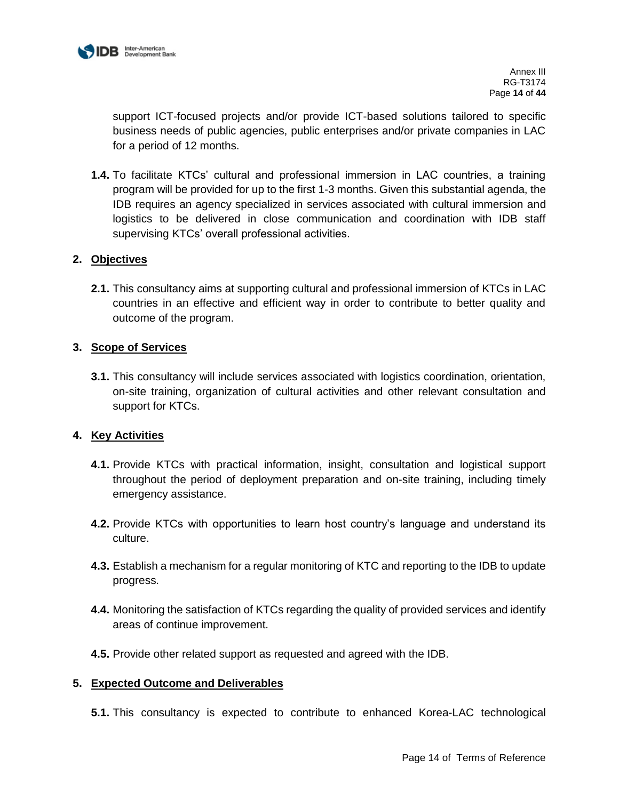

support ICT-focused projects and/or provide ICT-based solutions tailored to specific business needs of public agencies, public enterprises and/or private companies in LAC for a period of 12 months.

**1.4.** To facilitate KTCs' cultural and professional immersion in LAC countries, a training program will be provided for up to the first 1-3 months. Given this substantial agenda, the IDB requires an agency specialized in services associated with cultural immersion and logistics to be delivered in close communication and coordination with IDB staff supervising KTCs' overall professional activities.

## **2. Objectives**

**2.1.** This consultancy aims at supporting cultural and professional immersion of KTCs in LAC countries in an effective and efficient way in order to contribute to better quality and outcome of the program.

#### **3. Scope of Services**

**3.1.** This consultancy will include services associated with logistics coordination, orientation, on-site training, organization of cultural activities and other relevant consultation and support for KTCs.

## **4. Key Activities**

- **4.1.** Provide KTCs with practical information, insight, consultation and logistical support throughout the period of deployment preparation and on-site training, including timely emergency assistance.
- **4.2.** Provide KTCs with opportunities to learn host country's language and understand its culture.
- **4.3.** Establish a mechanism for a regular monitoring of KTC and reporting to the IDB to update progress.
- **4.4.** Monitoring the satisfaction of KTCs regarding the quality of provided services and identify areas of continue improvement.
- **4.5.** Provide other related support as requested and agreed with the IDB.

#### **5. Expected Outcome and Deliverables**

**5.1.** This consultancy is expected to contribute to enhanced Korea-LAC technological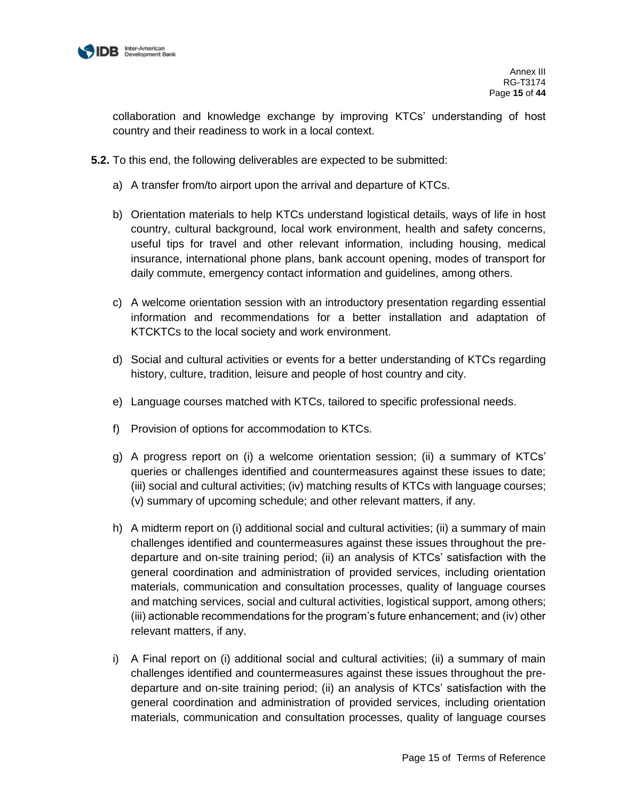

collaboration and knowledge exchange by improving KTCs' understanding of host country and their readiness to work in a local context.

- **5.2.** To this end, the following deliverables are expected to be submitted:
	- a) A transfer from/to airport upon the arrival and departure of KTCs.
	- b) Orientation materials to help KTCs understand logistical details, ways of life in host country, cultural background, local work environment, health and safety concerns, useful tips for travel and other relevant information, including housing, medical insurance, international phone plans, bank account opening, modes of transport for daily commute, emergency contact information and guidelines, among others.
	- c) A welcome orientation session with an introductory presentation regarding essential information and recommendations for a better installation and adaptation of KTCKTCs to the local society and work environment.
	- d) Social and cultural activities or events for a better understanding of KTCs regarding history, culture, tradition, leisure and people of host country and city.
	- e) Language courses matched with KTCs, tailored to specific professional needs.
	- f) Provision of options for accommodation to KTCs.
	- g) A progress report on (i) a welcome orientation session; (ii) a summary of KTCs' queries or challenges identified and countermeasures against these issues to date; (iii) social and cultural activities; (iv) matching results of KTCs with language courses; (v) summary of upcoming schedule; and other relevant matters, if any.
	- h) A midterm report on (i) additional social and cultural activities; (ii) a summary of main challenges identified and countermeasures against these issues throughout the predeparture and on-site training period; (ii) an analysis of KTCs' satisfaction with the general coordination and administration of provided services, including orientation materials, communication and consultation processes, quality of language courses and matching services, social and cultural activities, logistical support, among others; (iii) actionable recommendations for the program's future enhancement; and (iv) other relevant matters, if any.
	- i) A Final report on (i) additional social and cultural activities; (ii) a summary of main challenges identified and countermeasures against these issues throughout the predeparture and on-site training period; (ii) an analysis of KTCs' satisfaction with the general coordination and administration of provided services, including orientation materials, communication and consultation processes, quality of language courses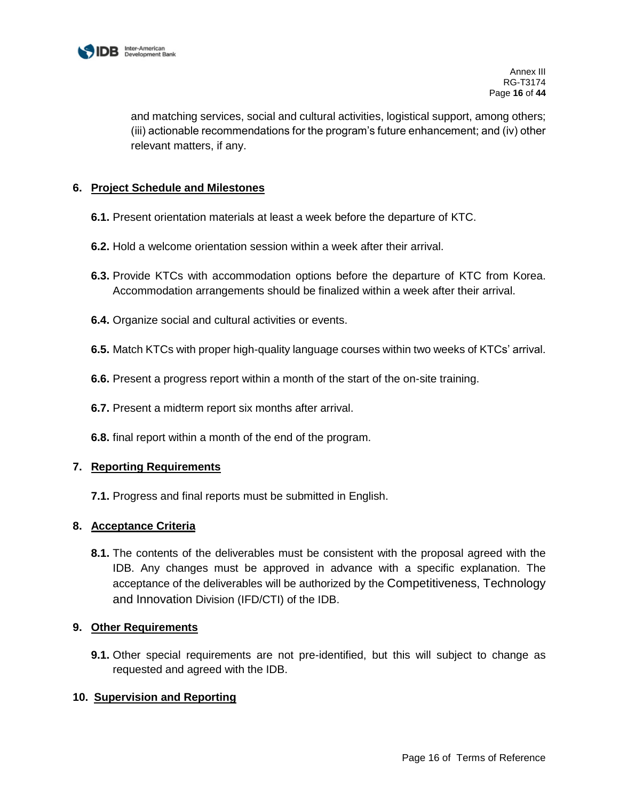

and matching services, social and cultural activities, logistical support, among others; (iii) actionable recommendations for the program's future enhancement; and (iv) other relevant matters, if any.

## **6. Project Schedule and Milestones**

- **6.1.** Present orientation materials at least a week before the departure of KTC.
- **6.2.** Hold a welcome orientation session within a week after their arrival.
- **6.3.** Provide KTCs with accommodation options before the departure of KTC from Korea. Accommodation arrangements should be finalized within a week after their arrival.
- **6.4.** Organize social and cultural activities or events.
- **6.5.** Match KTCs with proper high-quality language courses within two weeks of KTCs' arrival.
- **6.6.** Present a progress report within a month of the start of the on-site training.
- **6.7.** Present a midterm report six months after arrival.
- **6.8.** final report within a month of the end of the program.

#### **7. Reporting Requirements**

**7.1.** Progress and final reports must be submitted in English.

#### **8. Acceptance Criteria**

**8.1.** The contents of the deliverables must be consistent with the proposal agreed with the IDB. Any changes must be approved in advance with a specific explanation. The acceptance of the deliverables will be authorized by the Competitiveness, Technology and Innovation Division (IFD/CTI) of the IDB.

#### **9. Other Requirements**

**9.1.** Other special requirements are not pre-identified, but this will subject to change as requested and agreed with the IDB.

## **10. Supervision and Reporting**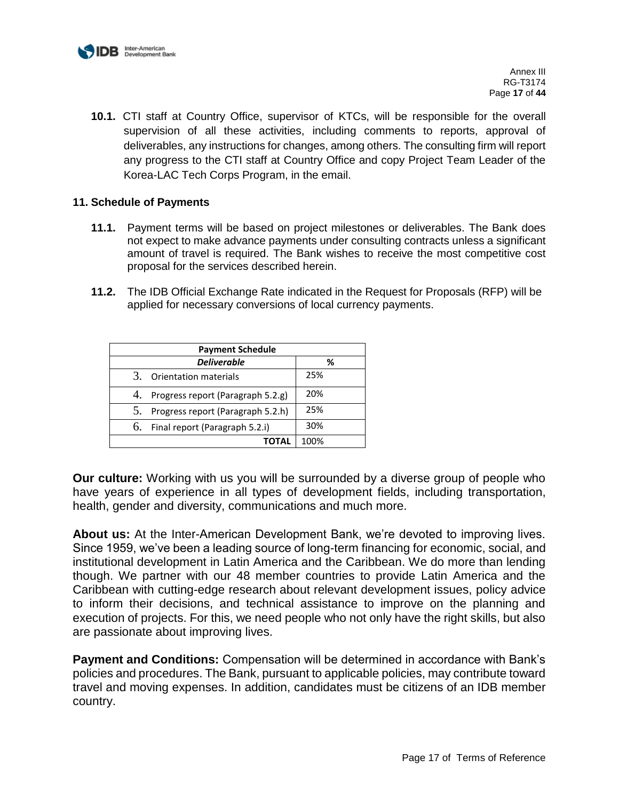

**10.1.** CTI staff at Country Office, supervisor of KTCs, will be responsible for the overall supervision of all these activities, including comments to reports, approval of deliverables, any instructions for changes, among others. The consulting firm will report any progress to the CTI staff at Country Office and copy Project Team Leader of the Korea-LAC Tech Corps Program, in the email.

## **11. Schedule of Payments**

- **11.1.** Payment terms will be based on project milestones or deliverables. The Bank does not expect to make advance payments under consulting contracts unless a significant amount of travel is required. The Bank wishes to receive the most competitive cost proposal for the services described herein.
- **11.2.** The IDB Official Exchange Rate indicated in the Request for Proposals (RFP) will be applied for necessary conversions of local currency payments.

| <b>Payment Schedule</b> |                                   |      |  |  |
|-------------------------|-----------------------------------|------|--|--|
|                         | <b>Deliverable</b>                | %    |  |  |
|                         | 3. Orientation materials          | 25%  |  |  |
| 4.                      | Progress report (Paragraph 5.2.g) | 20%  |  |  |
| 5.                      | Progress report (Paragraph 5.2.h) | 25%  |  |  |
| 6.                      | Final report (Paragraph 5.2.i)    | 30%  |  |  |
|                         |                                   | 100% |  |  |

**Our culture:** Working with us you will be surrounded by a diverse group of people who have years of experience in all types of development fields, including transportation, health, gender and diversity, communications and much more.

**About us:** At the Inter-American Development Bank, we're devoted to improving lives. Since 1959, we've been a leading source of long-term financing for economic, social, and institutional development in Latin America and the Caribbean. We do more than lending though. We partner with our 48 member countries to provide Latin America and the Caribbean with cutting-edge research about relevant development issues, policy advice to inform their decisions, and technical assistance to improve on the planning and execution of projects. For this, we need people who not only have the right skills, but also are passionate about improving lives.

**Payment and Conditions:** Compensation will be determined in accordance with Bank's policies and procedures. The Bank, pursuant to applicable policies, may contribute toward travel and moving expenses. In addition, candidates must be citizens of an IDB member country.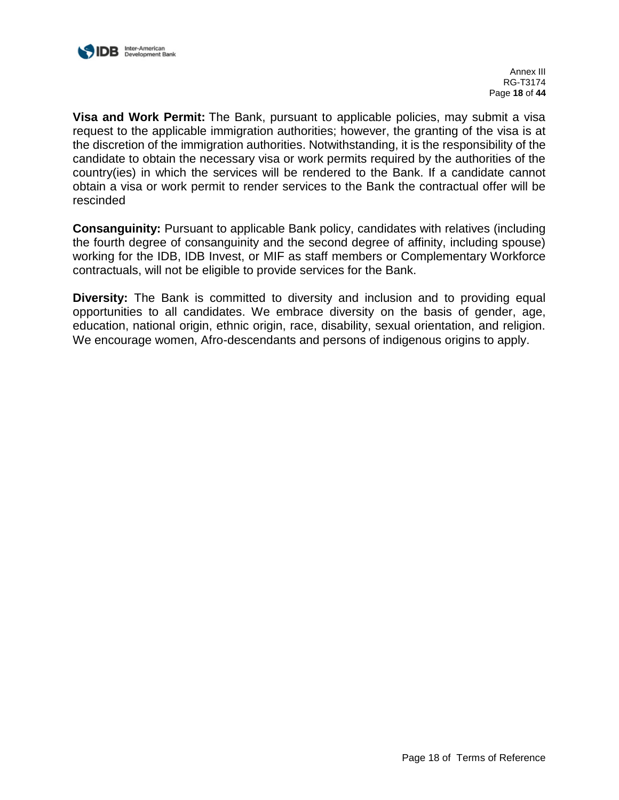

Annex III RG-T3174 Page **18** of **44**

**Visa and Work Permit:** The Bank, pursuant to applicable policies, may submit a visa request to the applicable immigration authorities; however, the granting of the visa is at the discretion of the immigration authorities. Notwithstanding, it is the responsibility of the candidate to obtain the necessary visa or work permits required by the authorities of the country(ies) in which the services will be rendered to the Bank. If a candidate cannot obtain a visa or work permit to render services to the Bank the contractual offer will be rescinded

**Consanguinity:** Pursuant to applicable Bank policy, candidates with relatives (including the fourth degree of consanguinity and the second degree of affinity, including spouse) working for the IDB, IDB Invest, or MIF as staff members or Complementary Workforce contractuals, will not be eligible to provide services for the Bank.

**Diversity:** The Bank is committed to diversity and inclusion and to providing equal opportunities to all candidates. We embrace diversity on the basis of gender, age, education, national origin, ethnic origin, race, disability, sexual orientation, and religion. We encourage women, Afro-descendants and persons of indigenous origins to apply.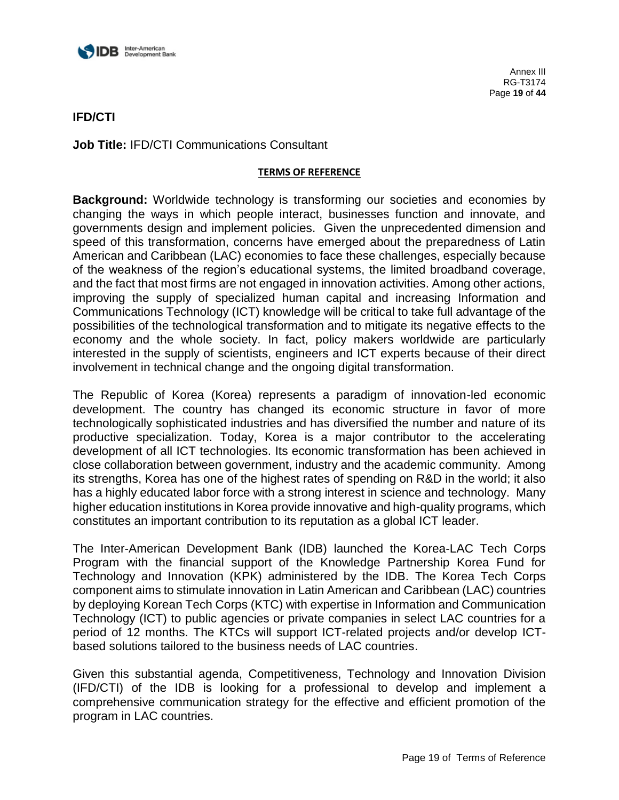

## **IFD/CTI**

## **Job Title:** IFD/CTI Communications Consultant

#### **TERMS OF REFERENCE**

**Background:** Worldwide technology is transforming our societies and economies by changing the ways in which people interact, businesses function and innovate, and governments design and implement policies. Given the unprecedented dimension and speed of this transformation, concerns have emerged about the preparedness of Latin American and Caribbean (LAC) economies to face these challenges, especially because of the weakness of the region's educational systems, the limited broadband coverage, and the fact that most firms are not engaged in innovation activities. Among other actions, improving the supply of specialized human capital and increasing Information and Communications Technology (ICT) knowledge will be critical to take full advantage of the possibilities of the technological transformation and to mitigate its negative effects to the economy and the whole society. In fact, policy makers worldwide are particularly interested in the supply of scientists, engineers and ICT experts because of their direct involvement in technical change and the ongoing digital transformation.

The Republic of Korea (Korea) represents a paradigm of innovation-led economic development. The country has changed its economic structure in favor of more technologically sophisticated industries and has diversified the number and nature of its productive specialization. Today, Korea is a major contributor to the accelerating development of all ICT technologies. Its economic transformation has been achieved in close collaboration between government, industry and the academic community. Among its strengths, Korea has one of the highest rates of spending on R&D in the world; it also has a highly educated labor force with a strong interest in science and technology. Many higher education institutions in Korea provide innovative and high-quality programs, which constitutes an important contribution to its reputation as a global ICT leader.

The Inter-American Development Bank (IDB) launched the Korea-LAC Tech Corps Program with the financial support of the Knowledge Partnership Korea Fund for Technology and Innovation (KPK) administered by the IDB. The Korea Tech Corps component aims to stimulate innovation in Latin American and Caribbean (LAC) countries by deploying Korean Tech Corps (KTC) with expertise in Information and Communication Technology (ICT) to public agencies or private companies in select LAC countries for a period of 12 months. The KTCs will support ICT-related projects and/or develop ICTbased solutions tailored to the business needs of LAC countries.

Given this substantial agenda, Competitiveness, Technology and Innovation Division (IFD/CTI) of the IDB is looking for a professional to develop and implement a comprehensive communication strategy for the effective and efficient promotion of the program in LAC countries.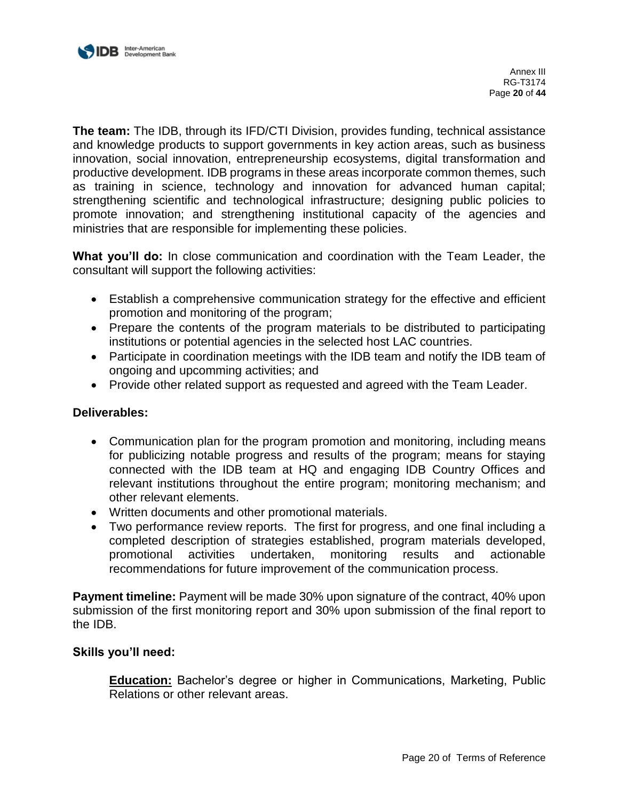

**The team:** The IDB, through its IFD/CTI Division, provides funding, technical assistance and knowledge products to support governments in key action areas, such as business innovation, social innovation, entrepreneurship ecosystems, digital transformation and productive development. IDB programs in these areas incorporate common themes, such as training in science, technology and innovation for advanced human capital; strengthening scientific and technological infrastructure; designing public policies to promote innovation; and strengthening institutional capacity of the agencies and ministries that are responsible for implementing these policies.

**What you'll do:** In close communication and coordination with the Team Leader, the consultant will support the following activities:

- Establish a comprehensive communication strategy for the effective and efficient promotion and monitoring of the program;
- Prepare the contents of the program materials to be distributed to participating institutions or potential agencies in the selected host LAC countries.
- Participate in coordination meetings with the IDB team and notify the IDB team of ongoing and upcomming activities; and
- Provide other related support as requested and agreed with the Team Leader.

## **Deliverables:**

- Communication plan for the program promotion and monitoring, including means for publicizing notable progress and results of the program; means for staying connected with the IDB team at HQ and engaging IDB Country Offices and relevant institutions throughout the entire program; monitoring mechanism; and other relevant elements.
- Written documents and other promotional materials.
- Two performance review reports. The first for progress, and one final including a completed description of strategies established, program materials developed, promotional activities undertaken, monitoring results and actionable recommendations for future improvement of the communication process.

**Payment timeline:** Payment will be made 30% upon signature of the contract, 40% upon submission of the first monitoring report and 30% upon submission of the final report to the IDB.

## **Skills you'll need:**

**Education:** Bachelor's degree or higher in Communications, Marketing, Public Relations or other relevant areas.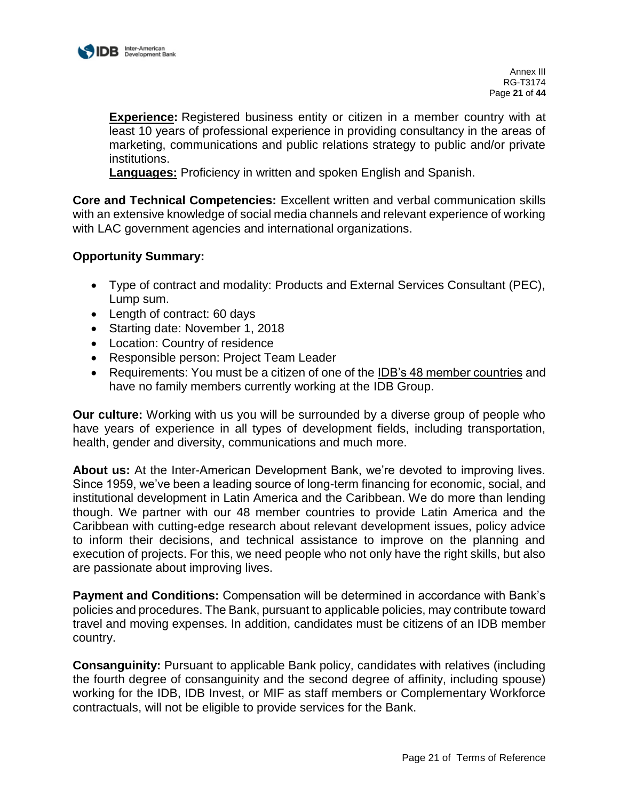

**Experience:** Registered business entity or citizen in a member country with at least 10 years of professional experience in providing consultancy in the areas of marketing, communications and public relations strategy to public and/or private institutions.

**Languages:** Proficiency in written and spoken English and Spanish.

**Core and Technical Competencies:** Excellent written and verbal communication skills with an extensive knowledge of social media channels and relevant experience of working with LAC government agencies and international organizations.

## **Opportunity Summary:**

- Type of contract and modality: Products and External Services Consultant (PEC), Lump sum.
- Length of contract: 60 days
- Starting date: November 1, 2018
- Location: Country of residence
- Responsible person: Project Team Leader
- Requirements: You must be a citizen of one of the [IDB's 48 member countries](http://www.iadb.org/en/about-us/how-the-inter-american-development-bank-is-organized,5998.html?open_accordion=9) and have no family members currently working at the IDB Group.

**Our culture:** Working with us you will be surrounded by a diverse group of people who have years of experience in all types of development fields, including transportation, health, gender and diversity, communications and much more.

**About us:** At the Inter-American Development Bank, we're devoted to improving lives. Since 1959, we've been a leading source of long-term financing for economic, social, and institutional development in Latin America and the Caribbean. We do more than lending though. We partner with our 48 member countries to provide Latin America and the Caribbean with cutting-edge research about relevant development issues, policy advice to inform their decisions, and technical assistance to improve on the planning and execution of projects. For this, we need people who not only have the right skills, but also are passionate about improving lives.

**Payment and Conditions:** Compensation will be determined in accordance with Bank's policies and procedures. The Bank, pursuant to applicable policies, may contribute toward travel and moving expenses. In addition, candidates must be citizens of an IDB member country.

**Consanguinity:** Pursuant to applicable Bank policy, candidates with relatives (including the fourth degree of consanguinity and the second degree of affinity, including spouse) working for the IDB, IDB Invest, or MIF as staff members or Complementary Workforce contractuals, will not be eligible to provide services for the Bank.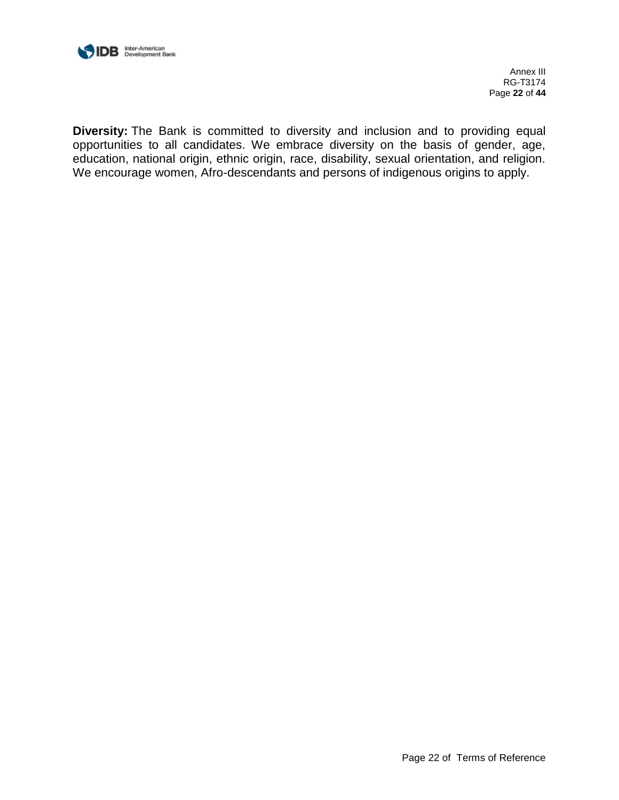

Annex III RG-T3174 Page **22** of **44**

**Diversity:** The Bank is committed to diversity and inclusion and to providing equal opportunities to all candidates. We embrace diversity on the basis of gender, age, education, national origin, ethnic origin, race, disability, sexual orientation, and religion. We encourage women, Afro-descendants and persons of indigenous origins to apply.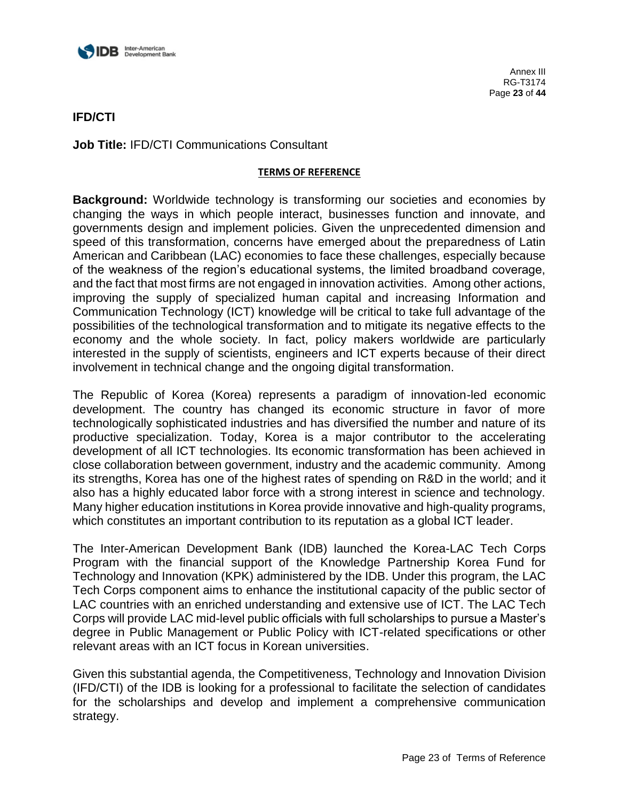

## **IFD/CTI**

## **Job Title:** IFD/CTI Communications Consultant

#### **TERMS OF REFERENCE**

**Background:** Worldwide technology is transforming our societies and economies by changing the ways in which people interact, businesses function and innovate, and governments design and implement policies. Given the unprecedented dimension and speed of this transformation, concerns have emerged about the preparedness of Latin American and Caribbean (LAC) economies to face these challenges, especially because of the weakness of the region's educational systems, the limited broadband coverage, and the fact that most firms are not engaged in innovation activities. Among other actions, improving the supply of specialized human capital and increasing Information and Communication Technology (ICT) knowledge will be critical to take full advantage of the possibilities of the technological transformation and to mitigate its negative effects to the economy and the whole society. In fact, policy makers worldwide are particularly interested in the supply of scientists, engineers and ICT experts because of their direct involvement in technical change and the ongoing digital transformation.

The Republic of Korea (Korea) represents a paradigm of innovation-led economic development. The country has changed its economic structure in favor of more technologically sophisticated industries and has diversified the number and nature of its productive specialization. Today, Korea is a major contributor to the accelerating development of all ICT technologies. Its economic transformation has been achieved in close collaboration between government, industry and the academic community. Among its strengths, Korea has one of the highest rates of spending on R&D in the world; and it also has a highly educated labor force with a strong interest in science and technology. Many higher education institutions in Korea provide innovative and high-quality programs, which constitutes an important contribution to its reputation as a global ICT leader.

The Inter-American Development Bank (IDB) launched the Korea-LAC Tech Corps Program with the financial support of the Knowledge Partnership Korea Fund for Technology and Innovation (KPK) administered by the IDB. Under this program, the LAC Tech Corps component aims to enhance the institutional capacity of the public sector of LAC countries with an enriched understanding and extensive use of ICT. The LAC Tech Corps will provide LAC mid-level public officials with full scholarships to pursue a Master's degree in Public Management or Public Policy with ICT-related specifications or other relevant areas with an ICT focus in Korean universities.

Given this substantial agenda, the Competitiveness, Technology and Innovation Division (IFD/CTI) of the IDB is looking for a professional to facilitate the selection of candidates for the scholarships and develop and implement a comprehensive communication strategy.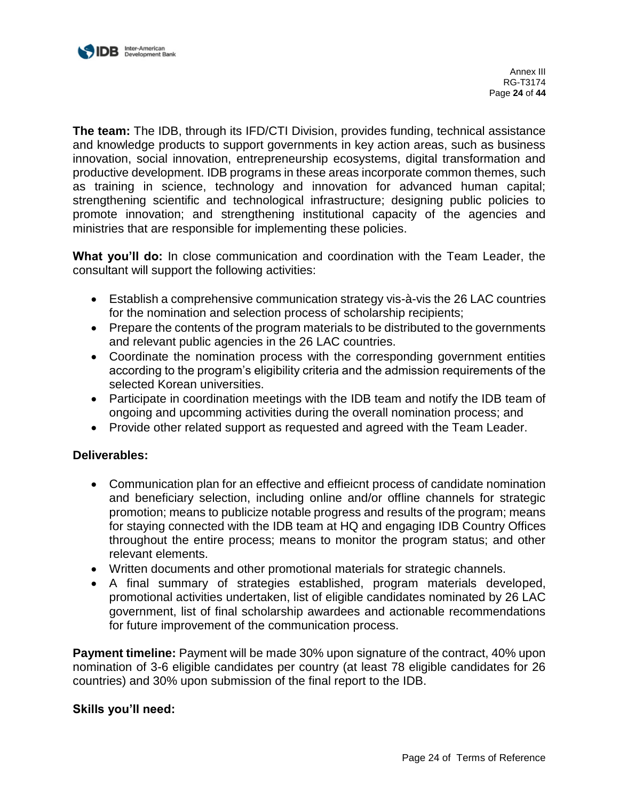

**The team:** The IDB, through its IFD/CTI Division, provides funding, technical assistance and knowledge products to support governments in key action areas, such as business innovation, social innovation, entrepreneurship ecosystems, digital transformation and productive development. IDB programs in these areas incorporate common themes, such as training in science, technology and innovation for advanced human capital; strengthening scientific and technological infrastructure; designing public policies to promote innovation; and strengthening institutional capacity of the agencies and ministries that are responsible for implementing these policies.

**What you'll do:** In close communication and coordination with the Team Leader, the consultant will support the following activities:

- Establish a comprehensive communication strategy vis-à-vis the 26 LAC countries for the nomination and selection process of scholarship recipients;
- Prepare the contents of the program materials to be distributed to the governments and relevant public agencies in the 26 LAC countries.
- Coordinate the nomination process with the corresponding government entities according to the program's eligibility criteria and the admission requirements of the selected Korean universities.
- Participate in coordination meetings with the IDB team and notify the IDB team of ongoing and upcomming activities during the overall nomination process; and
- Provide other related support as requested and agreed with the Team Leader.

## **Deliverables:**

- Communication plan for an effective and effieicnt process of candidate nomination and beneficiary selection, including online and/or offline channels for strategic promotion; means to publicize notable progress and results of the program; means for staying connected with the IDB team at HQ and engaging IDB Country Offices throughout the entire process; means to monitor the program status; and other relevant elements.
- Written documents and other promotional materials for strategic channels.
- A final summary of strategies established, program materials developed, promotional activities undertaken, list of eligible candidates nominated by 26 LAC government, list of final scholarship awardees and actionable recommendations for future improvement of the communication process.

**Payment timeline:** Payment will be made 30% upon signature of the contract, 40% upon nomination of 3-6 eligible candidates per country (at least 78 eligible candidates for 26 countries) and 30% upon submission of the final report to the IDB.

## **Skills you'll need:**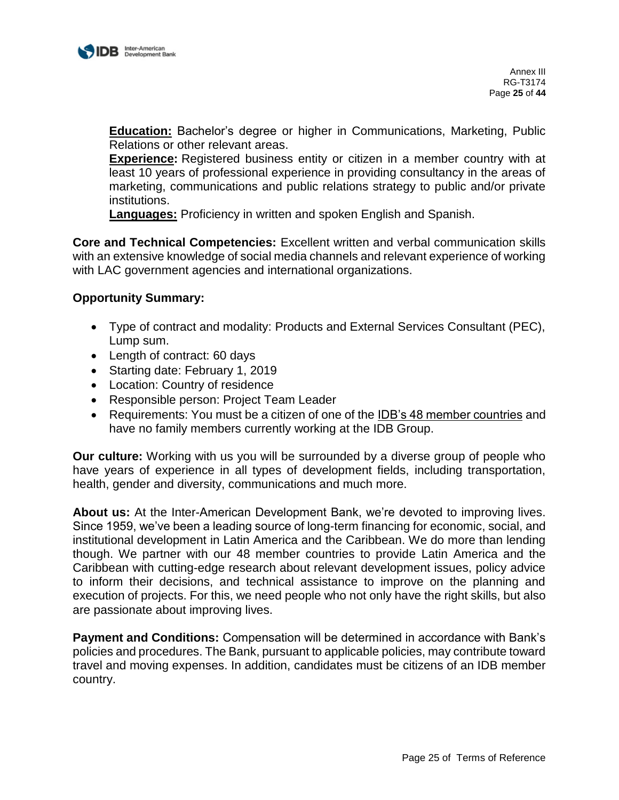

**Education:** Bachelor's degree or higher in Communications, Marketing, Public Relations or other relevant areas.

**Experience:** Registered business entity or citizen in a member country with at least 10 years of professional experience in providing consultancy in the areas of marketing, communications and public relations strategy to public and/or private institutions.

**Languages:** Proficiency in written and spoken English and Spanish.

**Core and Technical Competencies:** Excellent written and verbal communication skills with an extensive knowledge of social media channels and relevant experience of working with LAC government agencies and international organizations.

## **Opportunity Summary:**

- Type of contract and modality: Products and External Services Consultant (PEC), Lump sum.
- Length of contract: 60 days
- Starting date: February 1, 2019
- Location: Country of residence
- Responsible person: Project Team Leader
- Requirements: You must be a citizen of one of the [IDB's 48 member countries](http://www.iadb.org/en/about-us/how-the-inter-american-development-bank-is-organized,5998.html?open_accordion=9) and have no family members currently working at the IDB Group.

**Our culture:** Working with us you will be surrounded by a diverse group of people who have years of experience in all types of development fields, including transportation, health, gender and diversity, communications and much more.

**About us:** At the Inter-American Development Bank, we're devoted to improving lives. Since 1959, we've been a leading source of long-term financing for economic, social, and institutional development in Latin America and the Caribbean. We do more than lending though. We partner with our 48 member countries to provide Latin America and the Caribbean with cutting-edge research about relevant development issues, policy advice to inform their decisions, and technical assistance to improve on the planning and execution of projects. For this, we need people who not only have the right skills, but also are passionate about improving lives.

**Payment and Conditions:** Compensation will be determined in accordance with Bank's policies and procedures. The Bank, pursuant to applicable policies, may contribute toward travel and moving expenses. In addition, candidates must be citizens of an IDB member country.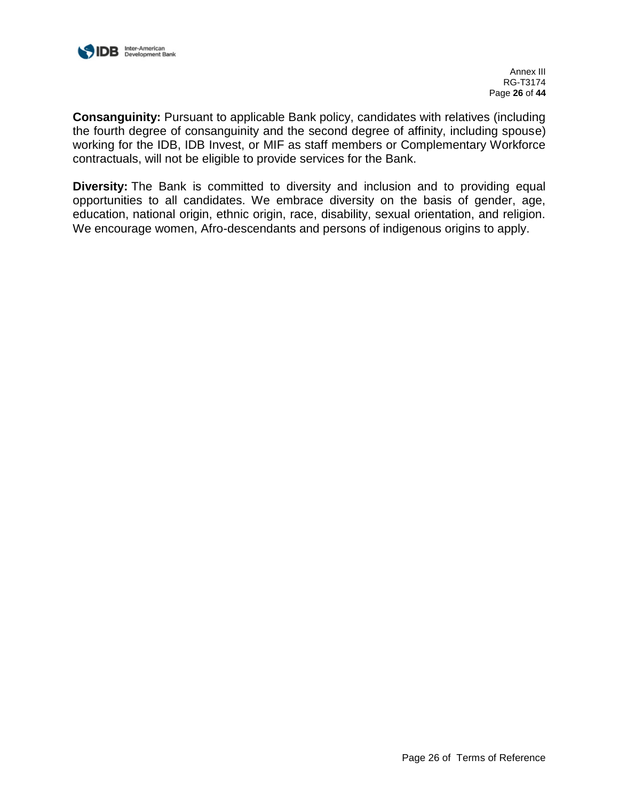

Annex III RG-T3174 Page **26** of **44**

**Consanguinity:** Pursuant to applicable Bank policy, candidates with relatives (including the fourth degree of consanguinity and the second degree of affinity, including spouse) working for the IDB, IDB Invest, or MIF as staff members or Complementary Workforce contractuals, will not be eligible to provide services for the Bank.

**Diversity:** The Bank is committed to diversity and inclusion and to providing equal opportunities to all candidates. We embrace diversity on the basis of gender, age, education, national origin, ethnic origin, race, disability, sexual orientation, and religion. We encourage women, Afro-descendants and persons of indigenous origins to apply.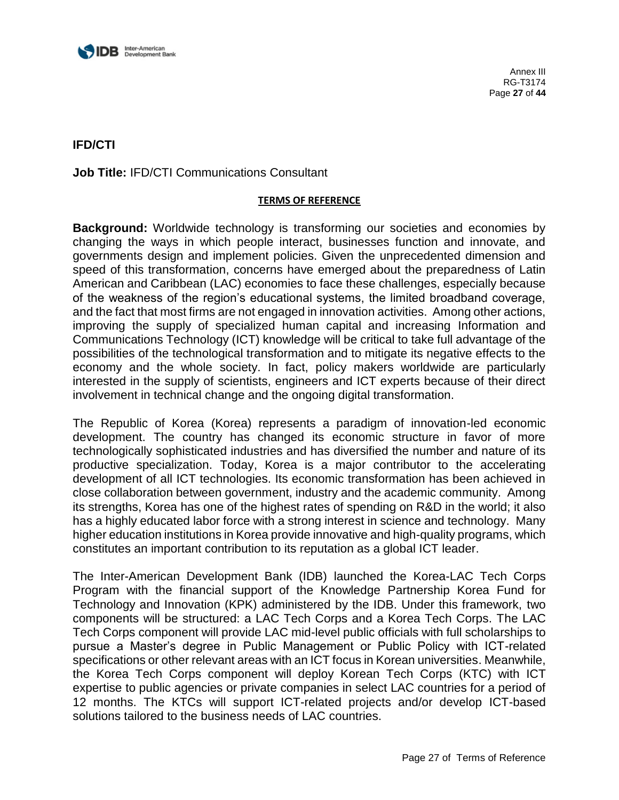

## **IFD/CTI**

**Job Title:** IFD/CTI Communications Consultant

#### **TERMS OF REFERENCE**

**Background:** Worldwide technology is transforming our societies and economies by changing the ways in which people interact, businesses function and innovate, and governments design and implement policies. Given the unprecedented dimension and speed of this transformation, concerns have emerged about the preparedness of Latin American and Caribbean (LAC) economies to face these challenges, especially because of the weakness of the region's educational systems, the limited broadband coverage, and the fact that most firms are not engaged in innovation activities. Among other actions, improving the supply of specialized human capital and increasing Information and Communications Technology (ICT) knowledge will be critical to take full advantage of the possibilities of the technological transformation and to mitigate its negative effects to the economy and the whole society. In fact, policy makers worldwide are particularly interested in the supply of scientists, engineers and ICT experts because of their direct involvement in technical change and the ongoing digital transformation.

The Republic of Korea (Korea) represents a paradigm of innovation-led economic development. The country has changed its economic structure in favor of more technologically sophisticated industries and has diversified the number and nature of its productive specialization. Today, Korea is a major contributor to the accelerating development of all ICT technologies. Its economic transformation has been achieved in close collaboration between government, industry and the academic community. Among its strengths, Korea has one of the highest rates of spending on R&D in the world; it also has a highly educated labor force with a strong interest in science and technology. Many higher education institutions in Korea provide innovative and high-quality programs, which constitutes an important contribution to its reputation as a global ICT leader.

The Inter-American Development Bank (IDB) launched the Korea-LAC Tech Corps Program with the financial support of the Knowledge Partnership Korea Fund for Technology and Innovation (KPK) administered by the IDB. Under this framework, two components will be structured: a LAC Tech Corps and a Korea Tech Corps. The LAC Tech Corps component will provide LAC mid-level public officials with full scholarships to pursue a Master's degree in Public Management or Public Policy with ICT-related specifications or other relevant areas with an ICT focus in Korean universities. Meanwhile, the Korea Tech Corps component will deploy Korean Tech Corps (KTC) with ICT expertise to public agencies or private companies in select LAC countries for a period of 12 months. The KTCs will support ICT-related projects and/or develop ICT-based solutions tailored to the business needs of LAC countries.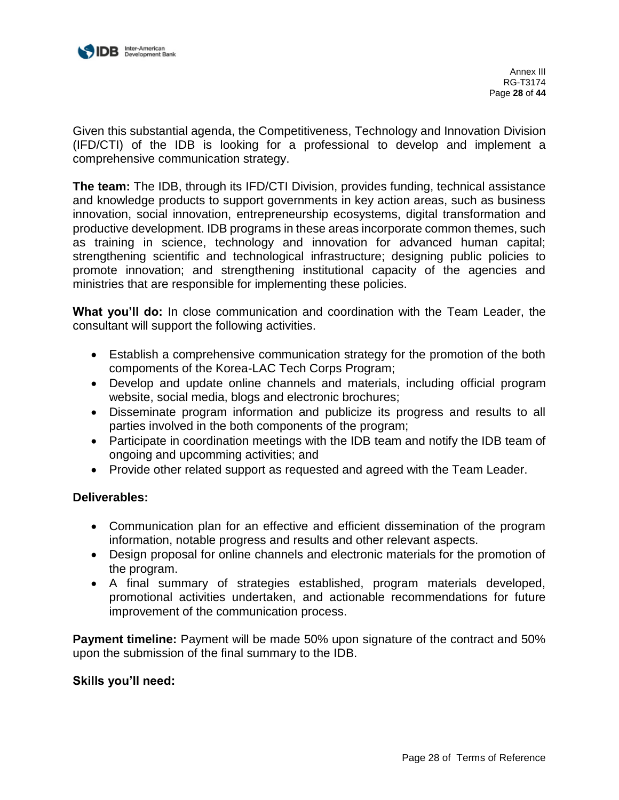

Given this substantial agenda, the Competitiveness, Technology and Innovation Division (IFD/CTI) of the IDB is looking for a professional to develop and implement a comprehensive communication strategy.

**The team:** The IDB, through its IFD/CTI Division, provides funding, technical assistance and knowledge products to support governments in key action areas, such as business innovation, social innovation, entrepreneurship ecosystems, digital transformation and productive development. IDB programs in these areas incorporate common themes, such as training in science, technology and innovation for advanced human capital; strengthening scientific and technological infrastructure; designing public policies to promote innovation; and strengthening institutional capacity of the agencies and ministries that are responsible for implementing these policies.

**What you'll do:** In close communication and coordination with the Team Leader, the consultant will support the following activities.

- Establish a comprehensive communication strategy for the promotion of the both compoments of the Korea-LAC Tech Corps Program;
- Develop and update online channels and materials, including official program website, social media, blogs and electronic brochures;
- Disseminate program information and publicize its progress and results to all parties involved in the both components of the program;
- Participate in coordination meetings with the IDB team and notify the IDB team of ongoing and upcomming activities; and
- Provide other related support as requested and agreed with the Team Leader.

## **Deliverables:**

- Communication plan for an effective and efficient dissemination of the program information, notable progress and results and other relevant aspects.
- Design proposal for online channels and electronic materials for the promotion of the program.
- A final summary of strategies established, program materials developed, promotional activities undertaken, and actionable recommendations for future improvement of the communication process.

**Payment timeline:** Payment will be made 50% upon signature of the contract and 50% upon the submission of the final summary to the IDB.

## **Skills you'll need:**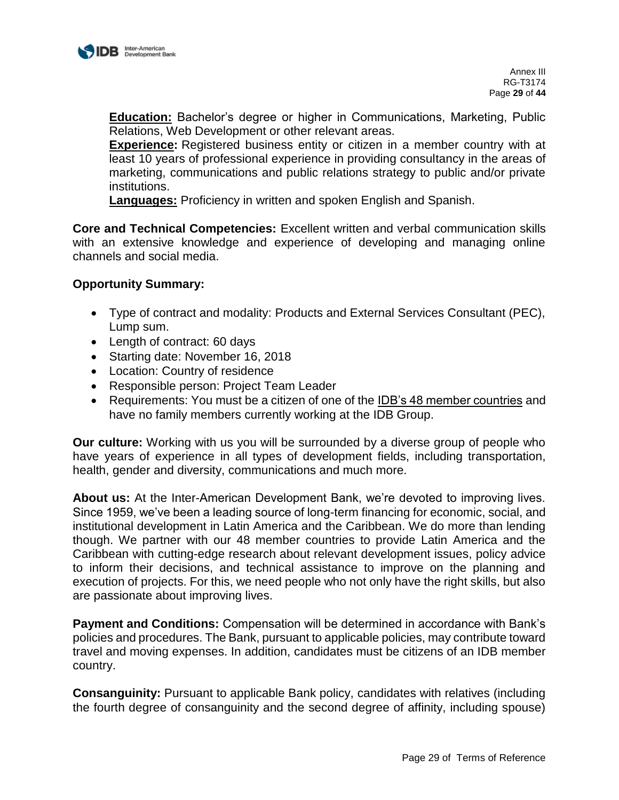

**Education:** Bachelor's degree or higher in Communications, Marketing, Public Relations, Web Development or other relevant areas.

**Experience:** Registered business entity or citizen in a member country with at least 10 years of professional experience in providing consultancy in the areas of marketing, communications and public relations strategy to public and/or private institutions.

**Languages:** Proficiency in written and spoken English and Spanish.

**Core and Technical Competencies:** Excellent written and verbal communication skills with an extensive knowledge and experience of developing and managing online channels and social media.

## **Opportunity Summary:**

- Type of contract and modality: Products and External Services Consultant (PEC), Lump sum.
- Length of contract: 60 days
- Starting date: November 16, 2018
- Location: Country of residence
- Responsible person: Project Team Leader
- Requirements: You must be a citizen of one of the [IDB's 48 member countries](http://www.iadb.org/en/about-us/how-the-inter-american-development-bank-is-organized,5998.html?open_accordion=9) and have no family members currently working at the IDB Group.

**Our culture:** Working with us you will be surrounded by a diverse group of people who have years of experience in all types of development fields, including transportation, health, gender and diversity, communications and much more.

**About us:** At the Inter-American Development Bank, we're devoted to improving lives. Since 1959, we've been a leading source of long-term financing for economic, social, and institutional development in Latin America and the Caribbean. We do more than lending though. We partner with our 48 member countries to provide Latin America and the Caribbean with cutting-edge research about relevant development issues, policy advice to inform their decisions, and technical assistance to improve on the planning and execution of projects. For this, we need people who not only have the right skills, but also are passionate about improving lives.

**Payment and Conditions:** Compensation will be determined in accordance with Bank's policies and procedures. The Bank, pursuant to applicable policies, may contribute toward travel and moving expenses. In addition, candidates must be citizens of an IDB member country.

**Consanguinity:** Pursuant to applicable Bank policy, candidates with relatives (including the fourth degree of consanguinity and the second degree of affinity, including spouse)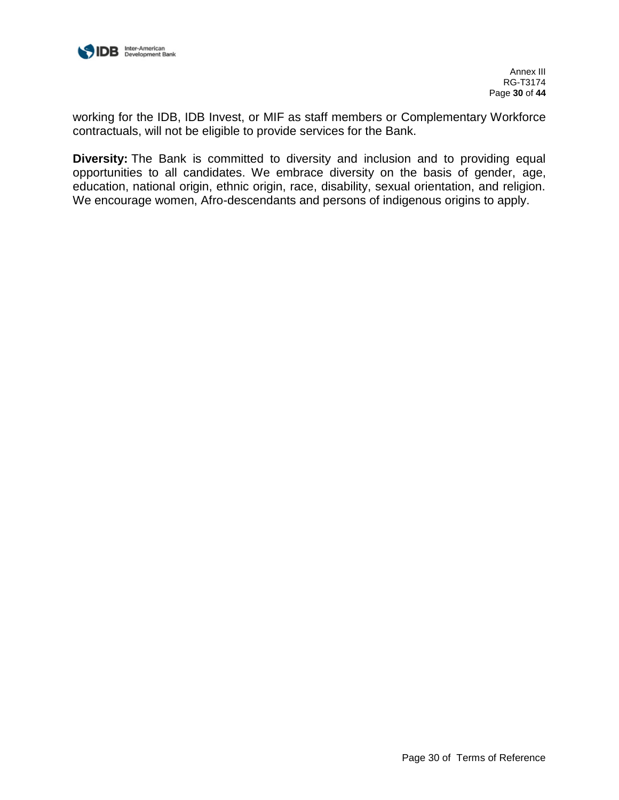

working for the IDB, IDB Invest, or MIF as staff members or Complementary Workforce contractuals, will not be eligible to provide services for the Bank.

**Diversity:** The Bank is committed to diversity and inclusion and to providing equal opportunities to all candidates. We embrace diversity on the basis of gender, age, education, national origin, ethnic origin, race, disability, sexual orientation, and religion. We encourage women, Afro-descendants and persons of indigenous origins to apply.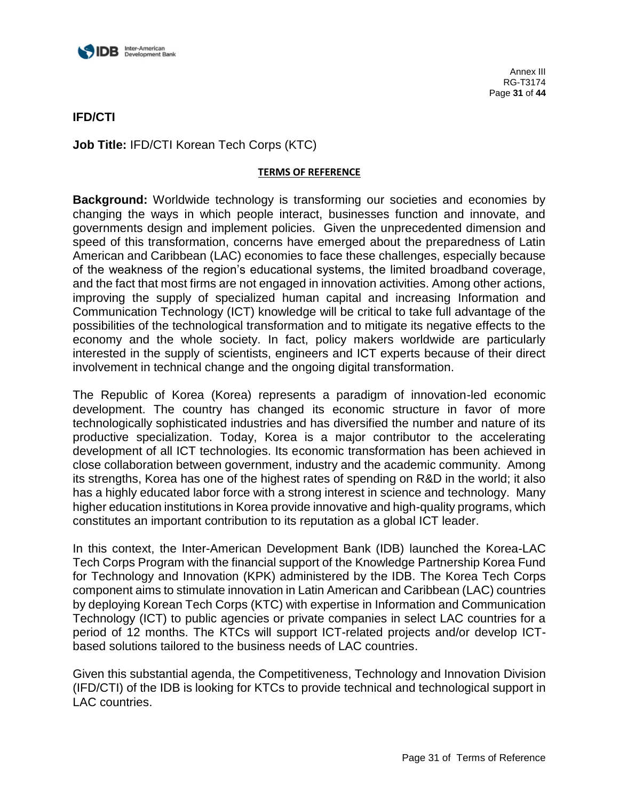

## **IFD/CTI**

**Job Title:** IFD/CTI Korean Tech Corps (KTC)

#### **TERMS OF REFERENCE**

**Background:** Worldwide technology is transforming our societies and economies by changing the ways in which people interact, businesses function and innovate, and governments design and implement policies. Given the unprecedented dimension and speed of this transformation, concerns have emerged about the preparedness of Latin American and Caribbean (LAC) economies to face these challenges, especially because of the weakness of the region's educational systems, the limited broadband coverage, and the fact that most firms are not engaged in innovation activities. Among other actions, improving the supply of specialized human capital and increasing Information and Communication Technology (ICT) knowledge will be critical to take full advantage of the possibilities of the technological transformation and to mitigate its negative effects to the economy and the whole society. In fact, policy makers worldwide are particularly interested in the supply of scientists, engineers and ICT experts because of their direct involvement in technical change and the ongoing digital transformation.

The Republic of Korea (Korea) represents a paradigm of innovation-led economic development. The country has changed its economic structure in favor of more technologically sophisticated industries and has diversified the number and nature of its productive specialization. Today, Korea is a major contributor to the accelerating development of all ICT technologies. Its economic transformation has been achieved in close collaboration between government, industry and the academic community. Among its strengths, Korea has one of the highest rates of spending on R&D in the world; it also has a highly educated labor force with a strong interest in science and technology. Many higher education institutions in Korea provide innovative and high-quality programs, which constitutes an important contribution to its reputation as a global ICT leader.

In this context, the Inter-American Development Bank (IDB) launched the Korea-LAC Tech Corps Program with the financial support of the Knowledge Partnership Korea Fund for Technology and Innovation (KPK) administered by the IDB. The Korea Tech Corps component aims to stimulate innovation in Latin American and Caribbean (LAC) countries by deploying Korean Tech Corps (KTC) with expertise in Information and Communication Technology (ICT) to public agencies or private companies in select LAC countries for a period of 12 months. The KTCs will support ICT-related projects and/or develop ICTbased solutions tailored to the business needs of LAC countries.

Given this substantial agenda, the Competitiveness, Technology and Innovation Division (IFD/CTI) of the IDB is looking for KTCs to provide technical and technological support in LAC countries.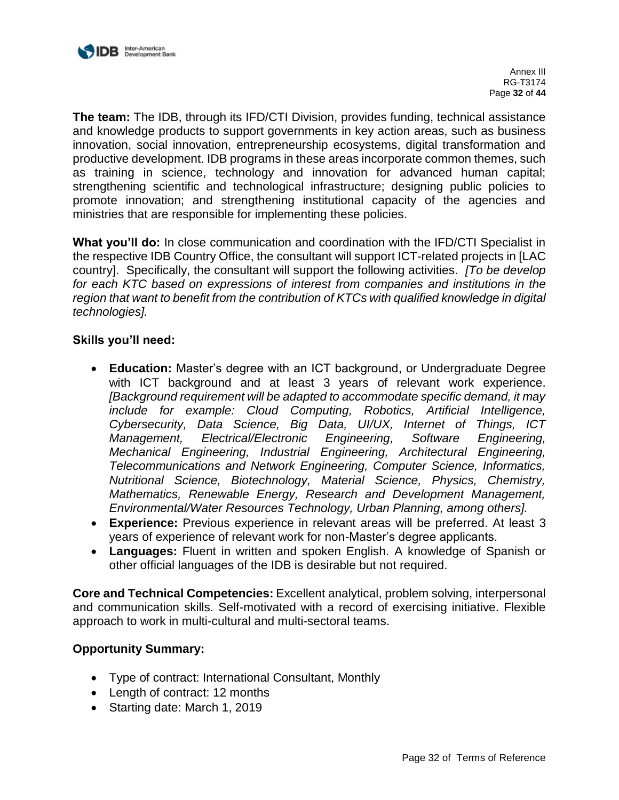

Annex III RG-T3174 Page **32** of **44**

**The team:** The IDB, through its IFD/CTI Division, provides funding, technical assistance and knowledge products to support governments in key action areas, such as business innovation, social innovation, entrepreneurship ecosystems, digital transformation and productive development. IDB programs in these areas incorporate common themes, such as training in science, technology and innovation for advanced human capital; strengthening scientific and technological infrastructure; designing public policies to promote innovation; and strengthening institutional capacity of the agencies and ministries that are responsible for implementing these policies.

**What you'll do:** In close communication and coordination with the IFD/CTI Specialist in the respective IDB Country Office, the consultant will support ICT-related projects in [LAC country]. Specifically, the consultant will support the following activities. *[To be develop for each KTC based on expressions of interest from companies and institutions in the region that want to benefit from the contribution of KTCs with qualified knowledge in digital technologies].* 

## **Skills you'll need:**

- **Education:** Master's degree with an ICT background, or Undergraduate Degree with ICT background and at least 3 years of relevant work experience. *[Background requirement will be adapted to accommodate specific demand, it may include for example: Cloud Computing, Robotics, Artificial Intelligence, Cybersecurity, Data Science, Big Data, UI/UX, Internet of Things, ICT Management, Electrical/Electronic Engineering, Software Engineering, Mechanical Engineering, Industrial Engineering, Architectural Engineering, Telecommunications and Network Engineering, Computer Science, Informatics, Nutritional Science, Biotechnology, Material Science, Physics, Chemistry, Mathematics, Renewable Energy, Research and Development Management, Environmental/Water Resources Technology, Urban Planning, among others].*
- **Experience:** Previous experience in relevant areas will be preferred. At least 3 years of experience of relevant work for non-Master's degree applicants.
- **Languages:** Fluent in written and spoken English. A knowledge of Spanish or other official languages of the IDB is desirable but not required.

**Core and Technical Competencies:** Excellent analytical, problem solving, interpersonal and communication skills. Self-motivated with a record of exercising initiative. Flexible approach to work in multi-cultural and multi-sectoral teams.

## **Opportunity Summary:**

- Type of contract: International Consultant, Monthly
- Length of contract: 12 months
- Starting date: March 1, 2019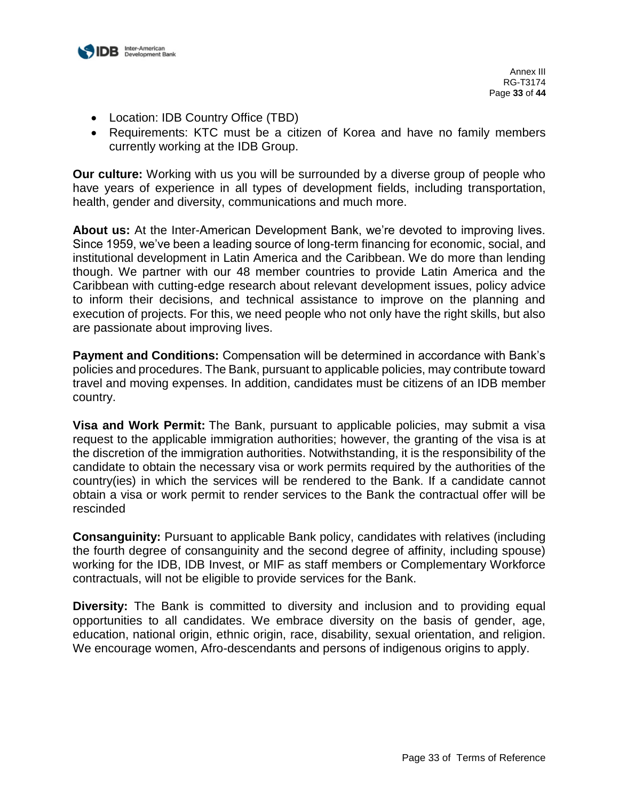

- Location: IDB Country Office (TBD)
- Requirements: KTC must be a citizen of Korea and have no family members currently working at the IDB Group.

**Our culture:** Working with us you will be surrounded by a diverse group of people who have years of experience in all types of development fields, including transportation, health, gender and diversity, communications and much more.

**About us:** At the Inter-American Development Bank, we're devoted to improving lives. Since 1959, we've been a leading source of long-term financing for economic, social, and institutional development in Latin America and the Caribbean. We do more than lending though. We partner with our 48 member countries to provide Latin America and the Caribbean with cutting-edge research about relevant development issues, policy advice to inform their decisions, and technical assistance to improve on the planning and execution of projects. For this, we need people who not only have the right skills, but also are passionate about improving lives.

**Payment and Conditions:** Compensation will be determined in accordance with Bank's policies and procedures. The Bank, pursuant to applicable policies, may contribute toward travel and moving expenses. In addition, candidates must be citizens of an IDB member country.

**Visa and Work Permit:** The Bank, pursuant to applicable policies, may submit a visa request to the applicable immigration authorities; however, the granting of the visa is at the discretion of the immigration authorities. Notwithstanding, it is the responsibility of the candidate to obtain the necessary visa or work permits required by the authorities of the country(ies) in which the services will be rendered to the Bank. If a candidate cannot obtain a visa or work permit to render services to the Bank the contractual offer will be rescinded

**Consanguinity:** Pursuant to applicable Bank policy, candidates with relatives (including the fourth degree of consanguinity and the second degree of affinity, including spouse) working for the IDB, IDB Invest, or MIF as staff members or Complementary Workforce contractuals, will not be eligible to provide services for the Bank.

**Diversity:** The Bank is committed to diversity and inclusion and to providing equal opportunities to all candidates. We embrace diversity on the basis of gender, age, education, national origin, ethnic origin, race, disability, sexual orientation, and religion. We encourage women, Afro-descendants and persons of indigenous origins to apply.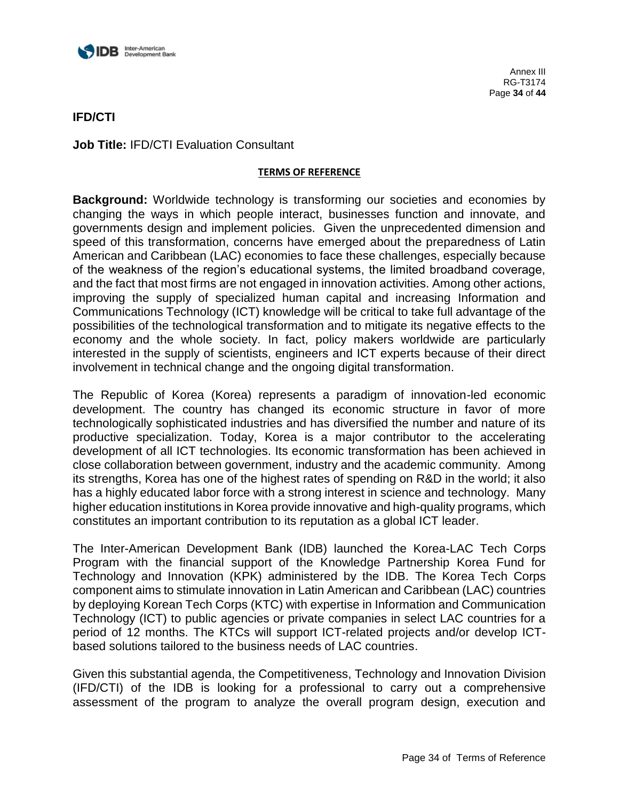

## **IFD/CTI**

## **Job Title:** IFD/CTI Evaluation Consultant

#### **TERMS OF REFERENCE**

**Background:** Worldwide technology is transforming our societies and economies by changing the ways in which people interact, businesses function and innovate, and governments design and implement policies. Given the unprecedented dimension and speed of this transformation, concerns have emerged about the preparedness of Latin American and Caribbean (LAC) economies to face these challenges, especially because of the weakness of the region's educational systems, the limited broadband coverage, and the fact that most firms are not engaged in innovation activities. Among other actions, improving the supply of specialized human capital and increasing Information and Communications Technology (ICT) knowledge will be critical to take full advantage of the possibilities of the technological transformation and to mitigate its negative effects to the economy and the whole society. In fact, policy makers worldwide are particularly interested in the supply of scientists, engineers and ICT experts because of their direct involvement in technical change and the ongoing digital transformation.

The Republic of Korea (Korea) represents a paradigm of innovation-led economic development. The country has changed its economic structure in favor of more technologically sophisticated industries and has diversified the number and nature of its productive specialization. Today, Korea is a major contributor to the accelerating development of all ICT technologies. Its economic transformation has been achieved in close collaboration between government, industry and the academic community. Among its strengths, Korea has one of the highest rates of spending on R&D in the world; it also has a highly educated labor force with a strong interest in science and technology. Many higher education institutions in Korea provide innovative and high-quality programs, which constitutes an important contribution to its reputation as a global ICT leader.

The Inter-American Development Bank (IDB) launched the Korea-LAC Tech Corps Program with the financial support of the Knowledge Partnership Korea Fund for Technology and Innovation (KPK) administered by the IDB. The Korea Tech Corps component aims to stimulate innovation in Latin American and Caribbean (LAC) countries by deploying Korean Tech Corps (KTC) with expertise in Information and Communication Technology (ICT) to public agencies or private companies in select LAC countries for a period of 12 months. The KTCs will support ICT-related projects and/or develop ICTbased solutions tailored to the business needs of LAC countries.

Given this substantial agenda, the Competitiveness, Technology and Innovation Division (IFD/CTI) of the IDB is looking for a professional to carry out a comprehensive assessment of the program to analyze the overall program design, execution and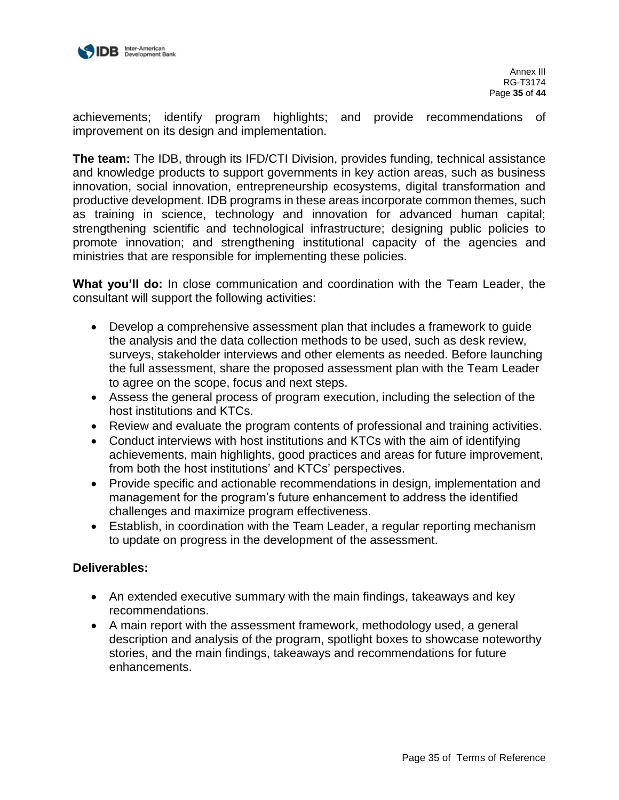

achievements; identify program highlights; and provide recommendations of improvement on its design and implementation.

**The team:** The IDB, through its IFD/CTI Division, provides funding, technical assistance and knowledge products to support governments in key action areas, such as business innovation, social innovation, entrepreneurship ecosystems, digital transformation and productive development. IDB programs in these areas incorporate common themes, such as training in science, technology and innovation for advanced human capital; strengthening scientific and technological infrastructure; designing public policies to promote innovation; and strengthening institutional capacity of the agencies and ministries that are responsible for implementing these policies.

**What you'll do:** In close communication and coordination with the Team Leader, the consultant will support the following activities:

- Develop a comprehensive assessment plan that includes a framework to guide the analysis and the data collection methods to be used, such as desk review, surveys, stakeholder interviews and other elements as needed. Before launching the full assessment, share the proposed assessment plan with the Team Leader to agree on the scope, focus and next steps.
- Assess the general process of program execution, including the selection of the host institutions and KTCs.
- Review and evaluate the program contents of professional and training activities.
- Conduct interviews with host institutions and KTCs with the aim of identifying achievements, main highlights, good practices and areas for future improvement, from both the host institutions' and KTCs' perspectives.
- Provide specific and actionable recommendations in design, implementation and management for the program's future enhancement to address the identified challenges and maximize program effectiveness.
- Establish, in coordination with the Team Leader, a regular reporting mechanism to update on progress in the development of the assessment.

## **Deliverables:**

- An extended executive summary with the main findings, takeaways and key recommendations.
- A main report with the assessment framework, methodology used, a general description and analysis of the program, spotlight boxes to showcase noteworthy stories, and the main findings, takeaways and recommendations for future enhancements.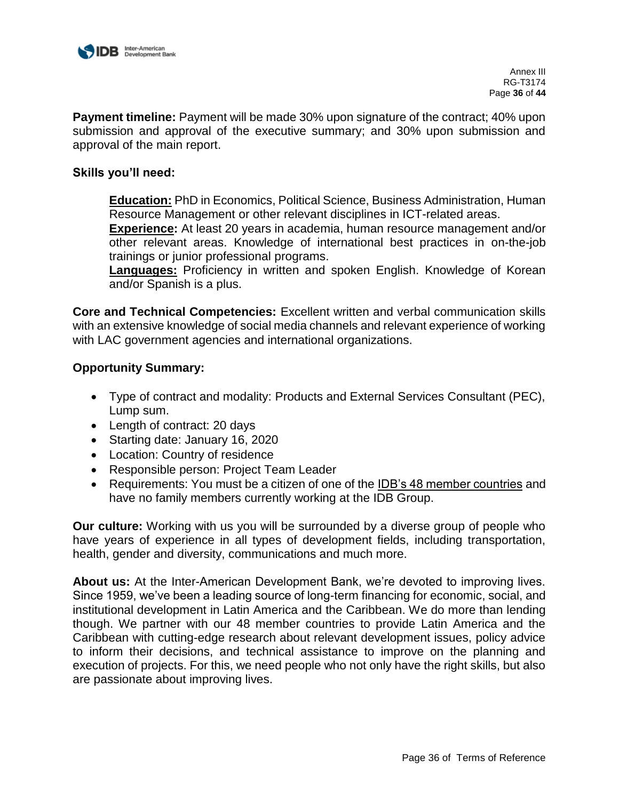

**Payment timeline:** Payment will be made 30% upon signature of the contract; 40% upon submission and approval of the executive summary; and 30% upon submission and approval of the main report.

## **Skills you'll need:**

**Education:** PhD in Economics, Political Science, Business Administration, Human Resource Management or other relevant disciplines in ICT-related areas.

**Experience:** At least 20 years in academia, human resource management and/or other relevant areas. Knowledge of international best practices in on-the-job trainings or junior professional programs.

**Languages:** Proficiency in written and spoken English. Knowledge of Korean and/or Spanish is a plus.

**Core and Technical Competencies:** Excellent written and verbal communication skills with an extensive knowledge of social media channels and relevant experience of working with LAC government agencies and international organizations.

## **Opportunity Summary:**

- Type of contract and modality: Products and External Services Consultant (PEC), Lump sum.
- Length of contract: 20 days
- Starting date: January 16, 2020
- Location: Country of residence
- Responsible person: Project Team Leader
- Requirements: You must be a citizen of one of the [IDB's 48 member countries](http://www.iadb.org/en/about-us/how-the-inter-american-development-bank-is-organized,5998.html?open_accordion=9) and have no family members currently working at the IDB Group.

**Our culture:** Working with us you will be surrounded by a diverse group of people who have years of experience in all types of development fields, including transportation, health, gender and diversity, communications and much more.

**About us:** At the Inter-American Development Bank, we're devoted to improving lives. Since 1959, we've been a leading source of long-term financing for economic, social, and institutional development in Latin America and the Caribbean. We do more than lending though. We partner with our 48 member countries to provide Latin America and the Caribbean with cutting-edge research about relevant development issues, policy advice to inform their decisions, and technical assistance to improve on the planning and execution of projects. For this, we need people who not only have the right skills, but also are passionate about improving lives.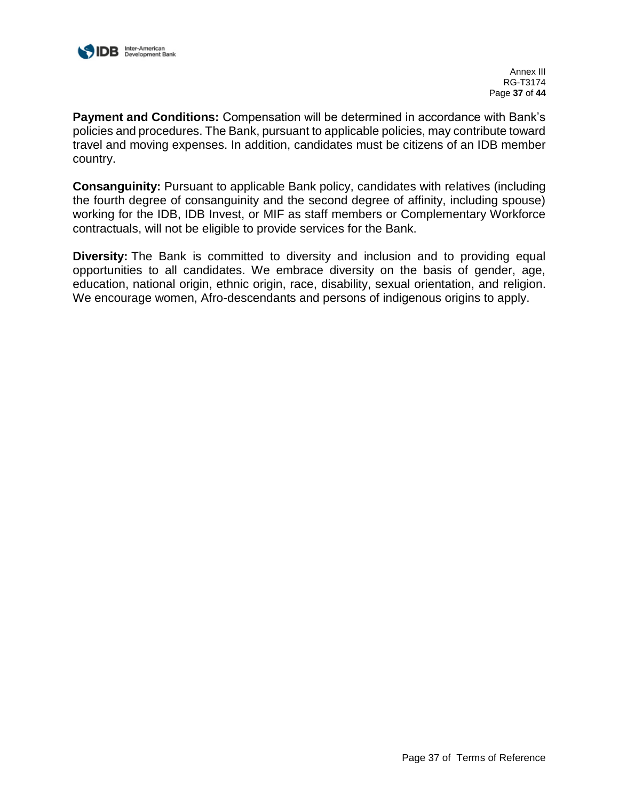

Annex III RG-T3174 Page **37** of **44**

**Payment and Conditions:** Compensation will be determined in accordance with Bank's policies and procedures. The Bank, pursuant to applicable policies, may contribute toward travel and moving expenses. In addition, candidates must be citizens of an IDB member country.

**Consanguinity:** Pursuant to applicable Bank policy, candidates with relatives (including the fourth degree of consanguinity and the second degree of affinity, including spouse) working for the IDB, IDB Invest, or MIF as staff members or Complementary Workforce contractuals, will not be eligible to provide services for the Bank.

**Diversity:** The Bank is committed to diversity and inclusion and to providing equal opportunities to all candidates. We embrace diversity on the basis of gender, age, education, national origin, ethnic origin, race, disability, sexual orientation, and religion. We encourage women, Afro-descendants and persons of indigenous origins to apply.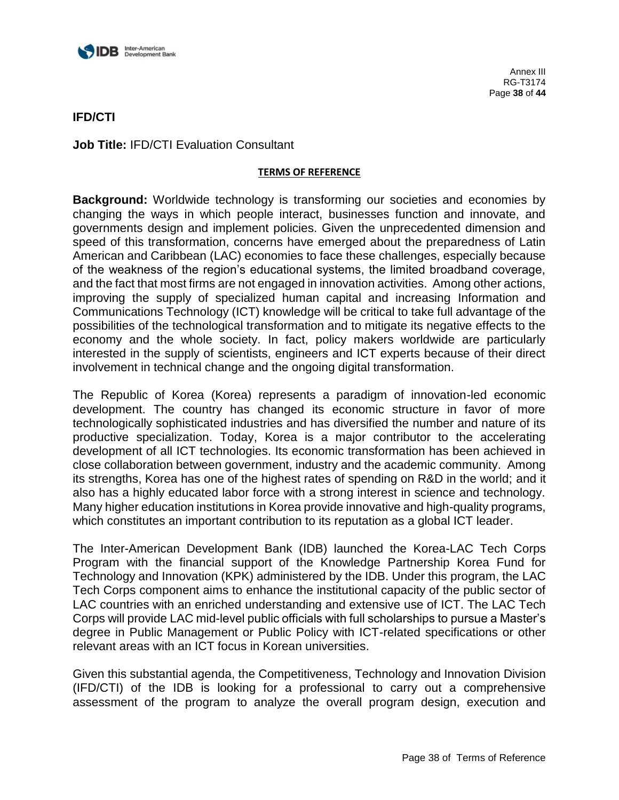

## **IFD/CTI**

## **Job Title:** IFD/CTI Evaluation Consultant

#### **TERMS OF REFERENCE**

**Background:** Worldwide technology is transforming our societies and economies by changing the ways in which people interact, businesses function and innovate, and governments design and implement policies. Given the unprecedented dimension and speed of this transformation, concerns have emerged about the preparedness of Latin American and Caribbean (LAC) economies to face these challenges, especially because of the weakness of the region's educational systems, the limited broadband coverage, and the fact that most firms are not engaged in innovation activities. Among other actions, improving the supply of specialized human capital and increasing Information and Communications Technology (ICT) knowledge will be critical to take full advantage of the possibilities of the technological transformation and to mitigate its negative effects to the economy and the whole society. In fact, policy makers worldwide are particularly interested in the supply of scientists, engineers and ICT experts because of their direct involvement in technical change and the ongoing digital transformation.

The Republic of Korea (Korea) represents a paradigm of innovation-led economic development. The country has changed its economic structure in favor of more technologically sophisticated industries and has diversified the number and nature of its productive specialization. Today, Korea is a major contributor to the accelerating development of all ICT technologies. Its economic transformation has been achieved in close collaboration between government, industry and the academic community. Among its strengths, Korea has one of the highest rates of spending on R&D in the world; and it also has a highly educated labor force with a strong interest in science and technology. Many higher education institutions in Korea provide innovative and high-quality programs, which constitutes an important contribution to its reputation as a global ICT leader.

The Inter-American Development Bank (IDB) launched the Korea-LAC Tech Corps Program with the financial support of the Knowledge Partnership Korea Fund for Technology and Innovation (KPK) administered by the IDB. Under this program, the LAC Tech Corps component aims to enhance the institutional capacity of the public sector of LAC countries with an enriched understanding and extensive use of ICT. The LAC Tech Corps will provide LAC mid-level public officials with full scholarships to pursue a Master's degree in Public Management or Public Policy with ICT-related specifications or other relevant areas with an ICT focus in Korean universities.

Given this substantial agenda, the Competitiveness, Technology and Innovation Division (IFD/CTI) of the IDB is looking for a professional to carry out a comprehensive assessment of the program to analyze the overall program design, execution and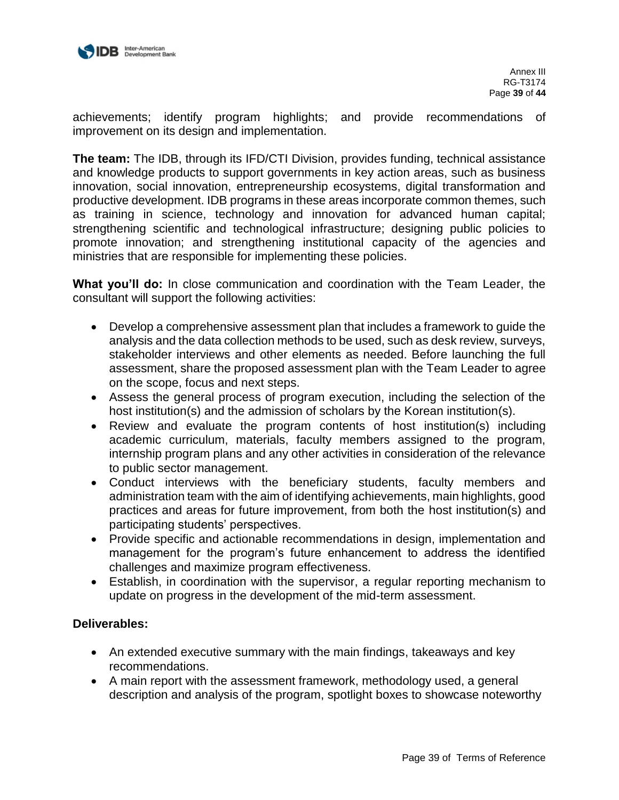

achievements; identify program highlights; and provide recommendations of improvement on its design and implementation.

**The team:** The IDB, through its IFD/CTI Division, provides funding, technical assistance and knowledge products to support governments in key action areas, such as business innovation, social innovation, entrepreneurship ecosystems, digital transformation and productive development. IDB programs in these areas incorporate common themes, such as training in science, technology and innovation for advanced human capital; strengthening scientific and technological infrastructure; designing public policies to promote innovation; and strengthening institutional capacity of the agencies and ministries that are responsible for implementing these policies.

**What you'll do:** In close communication and coordination with the Team Leader, the consultant will support the following activities:

- Develop a comprehensive assessment plan that includes a framework to guide the analysis and the data collection methods to be used, such as desk review, surveys, stakeholder interviews and other elements as needed. Before launching the full assessment, share the proposed assessment plan with the Team Leader to agree on the scope, focus and next steps.
- Assess the general process of program execution, including the selection of the host institution(s) and the admission of scholars by the Korean institution(s).
- Review and evaluate the program contents of host institution(s) including academic curriculum, materials, faculty members assigned to the program, internship program plans and any other activities in consideration of the relevance to public sector management.
- Conduct interviews with the beneficiary students, faculty members and administration team with the aim of identifying achievements, main highlights, good practices and areas for future improvement, from both the host institution(s) and participating students' perspectives.
- Provide specific and actionable recommendations in design, implementation and management for the program's future enhancement to address the identified challenges and maximize program effectiveness.
- Establish, in coordination with the supervisor, a regular reporting mechanism to update on progress in the development of the mid-term assessment.

## **Deliverables:**

- An extended executive summary with the main findings, takeaways and key recommendations.
- A main report with the assessment framework, methodology used, a general description and analysis of the program, spotlight boxes to showcase noteworthy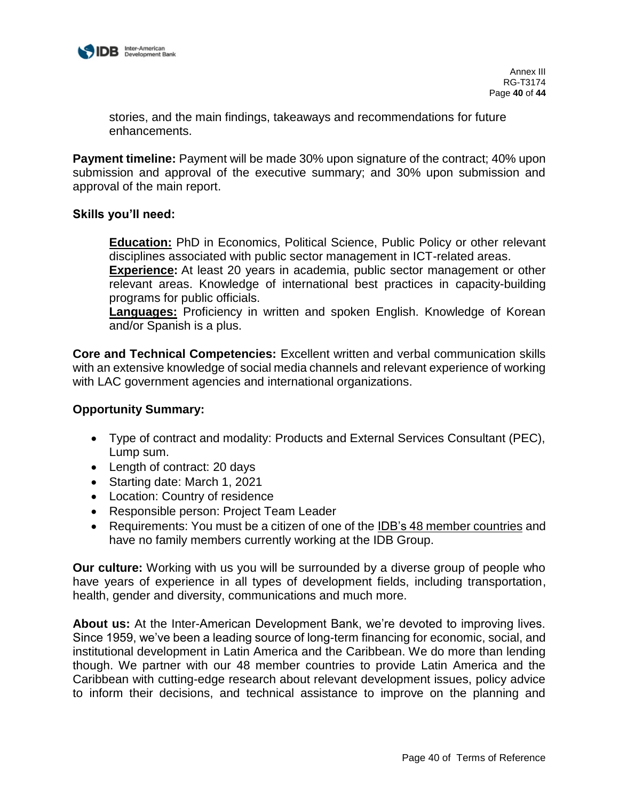

stories, and the main findings, takeaways and recommendations for future enhancements.

**Payment timeline:** Payment will be made 30% upon signature of the contract; 40% upon submission and approval of the executive summary; and 30% upon submission and approval of the main report.

## **Skills you'll need:**

**Education:** PhD in Economics, Political Science, Public Policy or other relevant disciplines associated with public sector management in ICT-related areas.

**Experience:** At least 20 years in academia, public sector management or other relevant areas. Knowledge of international best practices in capacity-building programs for public officials.

**Languages:** Proficiency in written and spoken English. Knowledge of Korean and/or Spanish is a plus.

**Core and Technical Competencies:** Excellent written and verbal communication skills with an extensive knowledge of social media channels and relevant experience of working with LAC government agencies and international organizations.

## **Opportunity Summary:**

- Type of contract and modality: Products and External Services Consultant (PEC), Lump sum.
- Length of contract: 20 days
- Starting date: March 1, 2021
- Location: Country of residence
- Responsible person: Project Team Leader
- Requirements: You must be a citizen of one of the [IDB's 48 member countries](http://www.iadb.org/en/about-us/how-the-inter-american-development-bank-is-organized,5998.html?open_accordion=9) and have no family members currently working at the IDB Group.

**Our culture:** Working with us you will be surrounded by a diverse group of people who have years of experience in all types of development fields, including transportation, health, gender and diversity, communications and much more.

**About us:** At the Inter-American Development Bank, we're devoted to improving lives. Since 1959, we've been a leading source of long-term financing for economic, social, and institutional development in Latin America and the Caribbean. We do more than lending though. We partner with our 48 member countries to provide Latin America and the Caribbean with cutting-edge research about relevant development issues, policy advice to inform their decisions, and technical assistance to improve on the planning and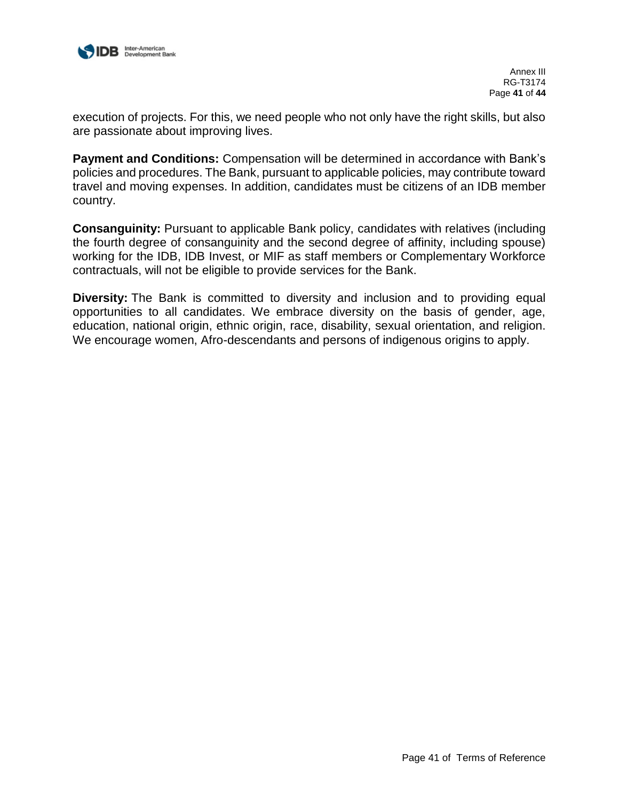

Annex III RG-T3174 Page **41** of **44**

execution of projects. For this, we need people who not only have the right skills, but also are passionate about improving lives.

**Payment and Conditions:** Compensation will be determined in accordance with Bank's policies and procedures. The Bank, pursuant to applicable policies, may contribute toward travel and moving expenses. In addition, candidates must be citizens of an IDB member country.

**Consanguinity:** Pursuant to applicable Bank policy, candidates with relatives (including the fourth degree of consanguinity and the second degree of affinity, including spouse) working for the IDB, IDB Invest, or MIF as staff members or Complementary Workforce contractuals, will not be eligible to provide services for the Bank.

**Diversity:** The Bank is committed to diversity and inclusion and to providing equal opportunities to all candidates. We embrace diversity on the basis of gender, age, education, national origin, ethnic origin, race, disability, sexual orientation, and religion. We encourage women, Afro-descendants and persons of indigenous origins to apply.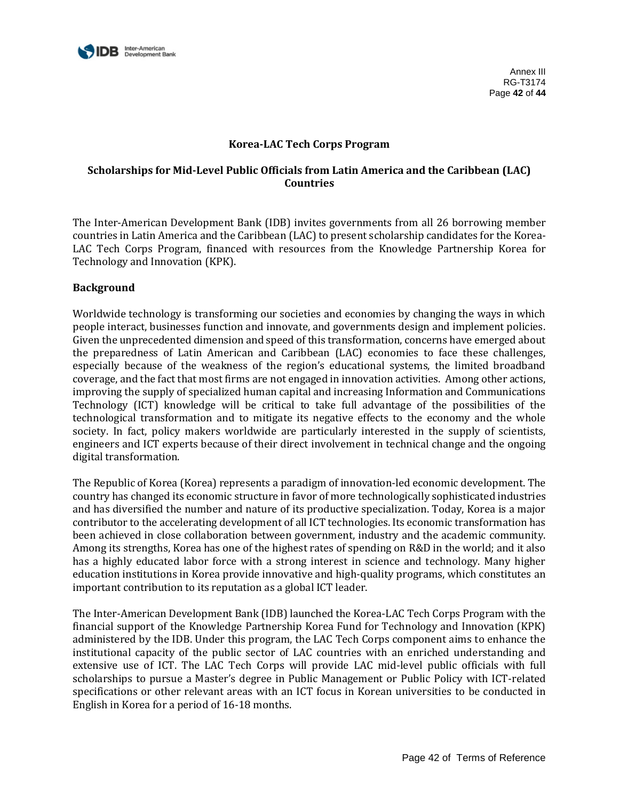

#### **Korea-LAC Tech Corps Program**

#### **Scholarships for Mid-Level Public Officials from Latin America and the Caribbean (LAC) Countries**

The Inter-American Development Bank (IDB) invites governments from all 26 borrowing member countries in Latin America and the Caribbean (LAC) to present scholarship candidates for the Korea-LAC Tech Corps Program, financed with resources from the Knowledge Partnership Korea for Technology and Innovation (KPK).

#### **Background**

Worldwide technology is transforming our societies and economies by changing the ways in which people interact, businesses function and innovate, and governments design and implement policies. Given the unprecedented dimension and speed of this transformation, concerns have emerged about the preparedness of Latin American and Caribbean (LAC) economies to face these challenges, especially because of the weakness of the region's educational systems, the limited broadband coverage, and the fact that most firms are not engaged in innovation activities. Among other actions, improving the supply of specialized human capital and increasing Information and Communications Technology (ICT) knowledge will be critical to take full advantage of the possibilities of the technological transformation and to mitigate its negative effects to the economy and the whole society. In fact, policy makers worldwide are particularly interested in the supply of scientists, engineers and ICT experts because of their direct involvement in technical change and the ongoing digital transformation.

The Republic of Korea (Korea) represents a paradigm of innovation-led economic development. The country has changed its economic structure in favor of more technologically sophisticated industries and has diversified the number and nature of its productive specialization. Today, Korea is a major contributor to the accelerating development of all ICT technologies. Its economic transformation has been achieved in close collaboration between government, industry and the academic community. Among its strengths, Korea has one of the highest rates of spending on R&D in the world; and it also has a highly educated labor force with a strong interest in science and technology. Many higher education institutions in Korea provide innovative and high-quality programs, which constitutes an important contribution to its reputation as a global ICT leader.

The Inter-American Development Bank (IDB) launched the Korea-LAC Tech Corps Program with the financial support of the Knowledge Partnership Korea Fund for Technology and Innovation (KPK) administered by the IDB. Under this program, the LAC Tech Corps component aims to enhance the institutional capacity of the public sector of LAC countries with an enriched understanding and extensive use of ICT. The LAC Tech Corps will provide LAC mid-level public officials with full scholarships to pursue a Master's degree in Public Management or Public Policy with ICT-related specifications or other relevant areas with an ICT focus in Korean universities to be conducted in English in Korea for a period of 16-18 months.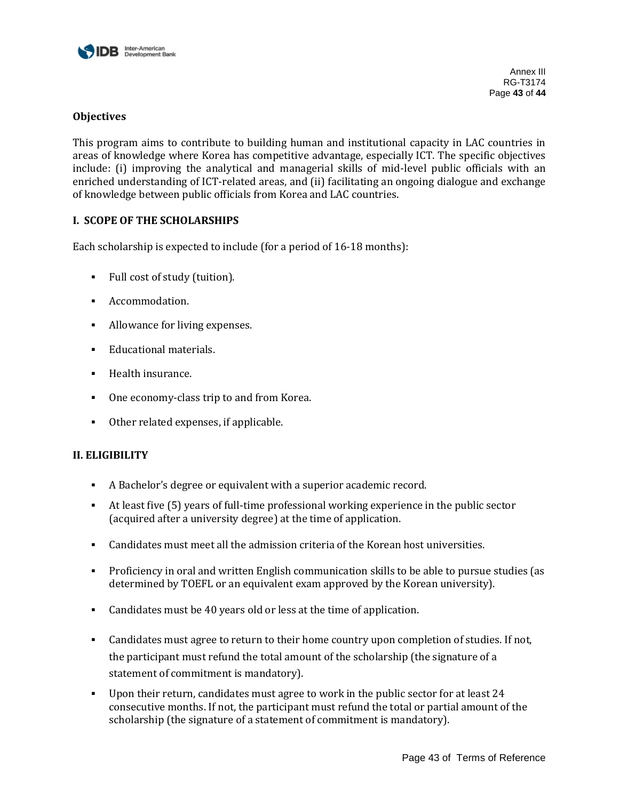

Annex III RG-T3174 Page **43** of **44**

#### **Objectives**

This program aims to contribute to building human and institutional capacity in LAC countries in areas of knowledge where Korea has competitive advantage, especially ICT. The specific objectives include: (i) improving the analytical and managerial skills of mid-level public officials with an enriched understanding of ICT-related areas, and (ii) facilitating an ongoing dialogue and exchange of knowledge between public officials from Korea and LAC countries.

#### **I. SCOPE OF THE SCHOLARSHIPS**

Each scholarship is expected to include (for a period of 16-18 months):

- Full cost of study (tuition).
- Accommodation.
- Allowance for living expenses.
- Educational materials.
- Health insurance.
- One economy-class trip to and from Korea.
- Other related expenses, if applicable.

#### **II. ELIGIBILITY**

- A Bachelor's degree or equivalent with a superior academic record.
- At least five (5) years of full-time professional working experience in the public sector (acquired after a university degree) at the time of application.
- Candidates must meet all the admission criteria of the Korean host universities.
- Proficiency in oral and written English communication skills to be able to pursue studies (as determined by TOEFL or an equivalent exam approved by the Korean university).
- Candidates must be 40 years old or less at the time of application.
- Candidates must agree to return to their home country upon completion of studies. If not, the participant must refund the total amount of the scholarship (the signature of a statement of commitment is mandatory).
- Upon their return, candidates must agree to work in the public sector for at least 24 consecutive months. If not, the participant must refund the total or partial amount of the scholarship (the signature of a statement of commitment is mandatory).